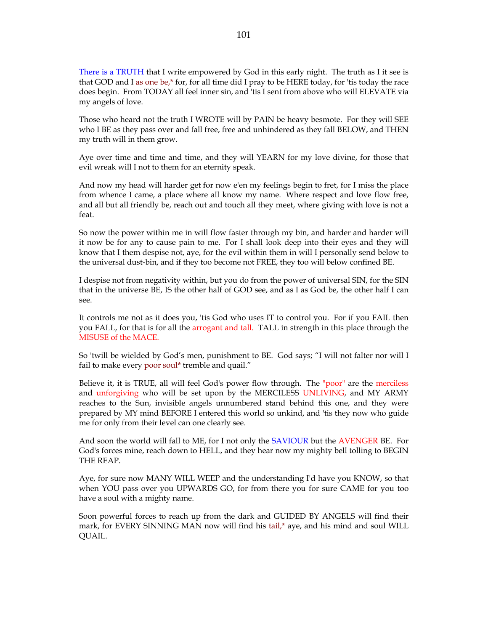There is a TRUTH that I write empowered by God in this early night. The truth as I it see is that GOD and I as one be,\* for, for all time did I pray to be HERE today, for 'tis today the race does begin. From TODAY all feel inner sin, and 'tis I sent from above who will ELEVATE via my angels of love.

Those who heard not the truth I WROTE will by PAIN be heavy besmote. For they will SEE who I BE as they pass over and fall free, free and unhindered as they fall BELOW, and THEN my truth will in them grow.

Aye over time and time and time, and they will YEARN for my love divine, for those that evil wreak will I not to them for an eternity speak.

And now my head will harder get for now e'en my feelings begin to fret, for I miss the place from whence I came, a place where all know my name. Where respect and love flow free, and all but all friendly be, reach out and touch all they meet, where giving with love is not a feat.

So now the power within me in will flow faster through my bin, and harder and harder will it now be for any to cause pain to me. For I shall look deep into their eyes and they will know that I them despise not, aye, for the evil within them in will I personally send below to the universal dust-bin, and if they too become not FREE, they too will below confined BE.

I despise not from negativity within, but you do from the power of universal SIN, for the SIN that in the universe BE, IS the other half of GOD see, and as I as God be, the other half I can see.

It controls me not as it does you, 'tis God who uses IT to control you. For if you FAIL then you FALL, for that is for all the arrogant and tall. TALL in strength in this place through the MISUSE of the MACE.

So 'twill be wielded by God's men, punishment to BE. God says; "I will not falter nor will I fail to make every poor soul\* tremble and quail."

Believe it, it is TRUE, all will feel God's power flow through. The "poor" are the merciless and unforgiving who will be set upon by the MERCILESS UNLIVING, and MY ARMY reaches to the Sun, invisible angels unnumbered stand behind this one, and they were prepared by MY mind BEFORE I entered this world so unkind, and 'tis they now who guide me for only from their level can one clearly see.

And soon the world will fall to ME, for I not only the SAVIOUR but the AVENGER BE. For God's forces mine, reach down to HELL, and they hear now my mighty bell tolling to BEGIN THE REAP.

Aye, for sure now MANY WILL WEEP and the understanding I'd have you KNOW, so that when YOU pass over you UPWARDS GO, for from there you for sure CAME for you too have a soul with a mighty name.

Soon powerful forces to reach up from the dark and GUIDED BY ANGELS will find their mark, for EVERY SINNING MAN now will find his tail,\* aye, and his mind and soul WILL QUAIL.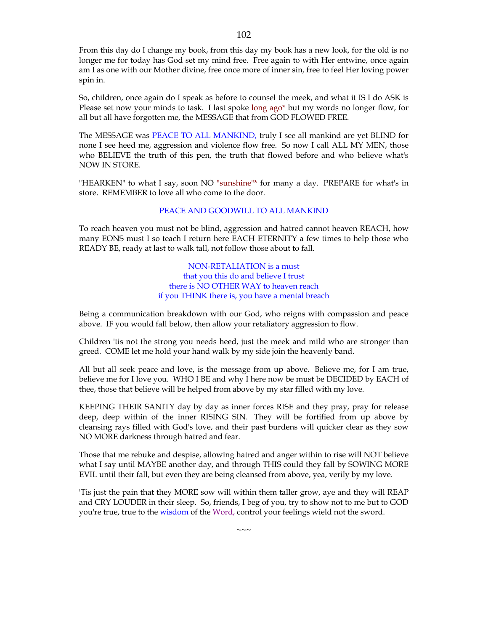From this day do I change my book, from this day my book has a new look, for the old is no longer me for today has God set my mind free. Free again to with Her entwine, once again am I as one with our Mother divine, free once more of inner sin, free to feel Her loving power spin in.

So, children, once again do I speak as before to counsel the meek, and what it IS I do ASK is Please set now your minds to task. I last spoke long ago\* but my words no longer flow, for all but all have forgotten me, the MESSAGE that from GOD FLOWED FREE.

The MESSAGE was PEACE TO ALL MANKIND, truly I see all mankind are yet BLIND for none I see heed me, aggression and violence flow free. So now I call ALL MY MEN, those who BELIEVE the truth of this pen, the truth that flowed before and who believe what's NOW IN STORE.

"HEARKEN" to what I say, soon NO "sunshine"\* for many a day. PREPARE for what's in store. REMEMBER to love all who come to the door.

# PEACE AND GOODWILL TO ALL MANKIND

To reach heaven you must not be blind, aggression and hatred cannot heaven REACH, how many EONS must I so teach I return here EACH ETERNITY a few times to help those who READY BE, ready at last to walk tall, not follow those about to fall.

> NON-RETALIATION is a must that you this do and believe I trust there is NO OTHER WAY to heaven reach if you THINK there is, you have a mental breach

Being a communication breakdown with our God, who reigns with compassion and peace above. IF you would fall below, then allow your retaliatory aggression to flow.

Children 'tis not the strong you needs heed, just the meek and mild who are stronger than greed. COME let me hold your hand walk by my side join the heavenly band.

All but all seek peace and love, is the message from up above. Believe me, for I am true, believe me for I love you. WHO I BE and why I here now be must be DECIDED by EACH of thee, those that believe will be helped from above by my star filled with my love.

KEEPING THEIR SANITY day by day as inner forces RISE and they pray, pray for release deep, deep within of the inner RISING SIN. They will be fortified from up above by cleansing rays filled with God's love, and their past burdens will quicker clear as they sow NO MORE darkness through hatred and fear.

Those that me rebuke and despise, allowing hatred and anger within to rise will NOT believe what I say until MAYBE another day, and through THIS could they fall by SOWING MORE EVIL until their fall, but even they are being cleansed from above, yea, verily by my love.

'Tis just the pain that they MORE sow will within them taller grow, aye and they will REAP and CRY LOUDER in their sleep. So, friends, I beg of you, try to show not to me but to GOD you're true, true to the wisdom of the Word, control your feelings wield not the sword.

 $\sim\sim\sim$ 

102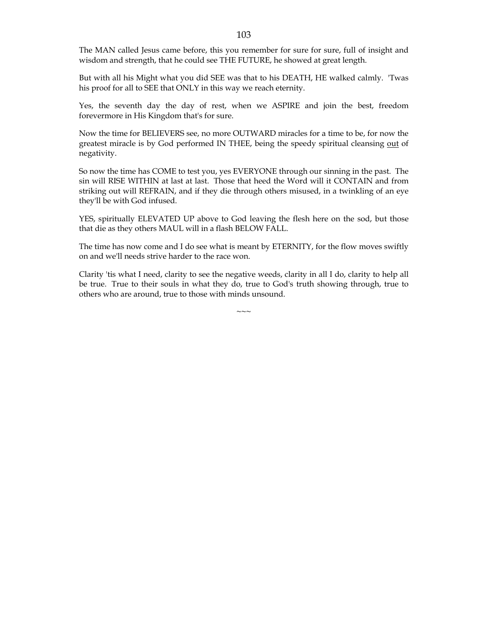The MAN called Jesus came before, this you remember for sure for sure, full of insight and wisdom and strength, that he could see THE FUTURE, he showed at great length.

But with all his Might what you did SEE was that to his DEATH, HE walked calmly. 'Twas his proof for all to SEE that ONLY in this way we reach eternity.

Yes, the seventh day the day of rest, when we ASPIRE and join the best, freedom forevermore in His Kingdom that's for sure.

Now the time for BELIEVERS see, no more OUTWARD miracles for a time to be, for now the greatest miracle is by God performed IN THEE, being the speedy spiritual cleansing out of negativity.

So now the time has COME to test you, yes EVERYONE through our sinning in the past. The sin will RISE WITHIN at last at last. Those that heed the Word will it CONTAIN and from striking out will REFRAIN, and if they die through others misused, in a twinkling of an eye they'll be with God infused.

YES, spiritually ELEVATED UP above to God leaving the flesh here on the sod, but those that die as they others MAUL will in a flash BELOW FALL.

The time has now come and I do see what is meant by ETERNITY, for the flow moves swiftly on and we'll needs strive harder to the race won.

Clarity 'tis what I need, clarity to see the negative weeds, clarity in all I do, clarity to help all be true. True to their souls in what they do, true to God's truth showing through, true to others who are around, true to those with minds unsound.

 $\sim\sim\sim$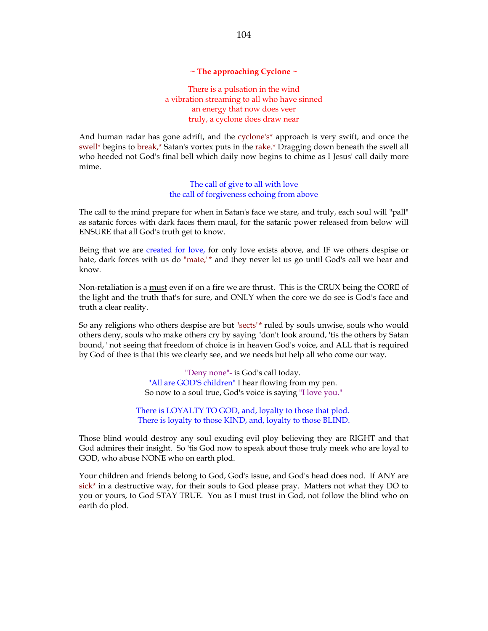#### **~ The approaching Cyclone ~**

There is a pulsation in the wind a vibration streaming to all who have sinned an energy that now does veer truly, a cyclone does draw near

And human radar has gone adrift, and the cyclone's\* approach is very swift, and once the swell\* begins to break,\* Satan's vortex puts in the rake.\* Dragging down beneath the swell all who heeded not God's final bell which daily now begins to chime as I Jesus' call daily more mime.

> The call of give to all with love the call of forgiveness echoing from above

The call to the mind prepare for when in Satan's face we stare, and truly, each soul will "pall" as satanic forces with dark faces them maul, for the satanic power released from below will ENSURE that all God's truth get to know.

Being that we are created for love, for only love exists above, and IF we others despise or hate, dark forces with us do "mate,"\* and they never let us go until God's call we hear and know.

Non-retaliation is a must even if on a fire we are thrust. This is the CRUX being the CORE of the light and the truth that's for sure, and ONLY when the core we do see is God's face and truth a clear reality.

So any religions who others despise are but "sects"\* ruled by souls unwise, souls who would others deny, souls who make others cry by saying "don't look around, 'tis the others by Satan bound," not seeing that freedom of choice is in heaven God's voice, and ALL that is required by God of thee is that this we clearly see, and we needs but help all who come our way.

> "Deny none"- is God's call today. "All are GOD'S children" I hear flowing from my pen. So now to a soul true, God's voice is saying "I love you."

There is LOYALTY TO GOD, and, loyalty to those that plod. There is loyalty to those KIND, and, loyalty to those BLIND.

Those blind would destroy any soul exuding evil ploy believing they are RIGHT and that God admires their insight. So 'tis God now to speak about those truly meek who are loyal to GOD, who abuse NONE who on earth plod.

Your children and friends belong to God, God's issue, and God's head does nod. If ANY are sick<sup>\*</sup> in a destructive way, for their souls to God please pray. Matters not what they DO to you or yours, to God STAY TRUE. You as I must trust in God, not follow the blind who on earth do plod.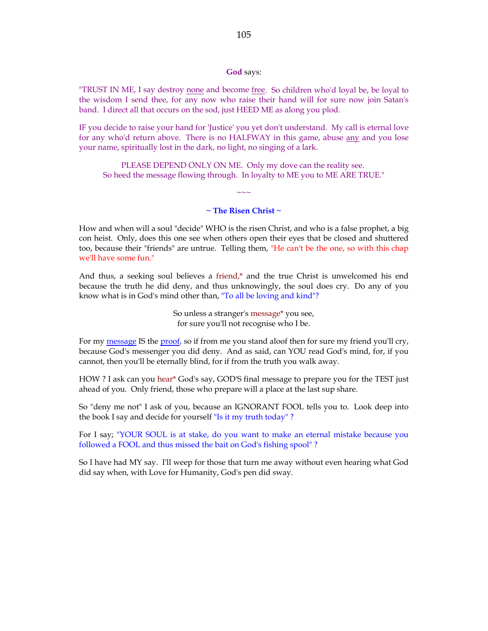#### **God** says:

"TRUST IN ME, I say destroy none and become free. So children who'd loyal be, be loyal to the wisdom I send thee, for any now who raise their hand will for sure now join Satan's band. I direct all that occurs on the sod, just HEED ME as along you plod.

IF you decide to raise your hand for 'Justice' you yet don't understand. My call is eternal love for any who'd return above. There is no HALFWAY in this game, abuse any and you lose your name, spiritually lost in the dark, no light, no singing of a lark.

PLEASE DEPEND ONLY ON ME. Only my dove can the reality see. So heed the message flowing through. In loyalty to ME you to ME ARE TRUE."

## **~ The Risen Christ ~**

 $\sim$  ~~

How and when will a soul "decide" WHO is the risen Christ, and who is a false prophet, a big con heist. Only, does this one see when others open their eyes that be closed and shuttered too, because their "friends" are untrue. Telling them, "He can't be the one, so with this chap we'll have some fun."

And thus, a seeking soul believes a friend,\* and the true Christ is unwelcomed his end because the truth he did deny, and thus unknowingly, the soul does cry. Do any of you know what is in God's mind other than, "To all be loving and kind"?

> So unless a stranger's message\* you see, for sure you'll not recognise who I be.

For my message IS the proof, so if from me you stand aloof then for sure my friend you'll cry, because God's messenger you did deny. And as said, can YOU read God's mind, for, if you cannot, then you'll be eternally blind, for if from the truth you walk away.

HOW ? I ask can you hear\* God's say, GOD'S final message to prepare you for the TEST just ahead of you. Only friend, those who prepare will a place at the last sup share.

So "deny me not" I ask of you, because an IGNORANT FOOL tells you to. Look deep into the book I say and decide for yourself "Is it my truth today" ?

For I say; "YOUR SOUL is at stake, do you want to make an eternal mistake because you followed a FOOL and thus missed the bait on God's fishing spool" ?

So I have had MY say. I'll weep for those that turn me away without even hearing what God did say when, with Love for Humanity, God's pen did sway.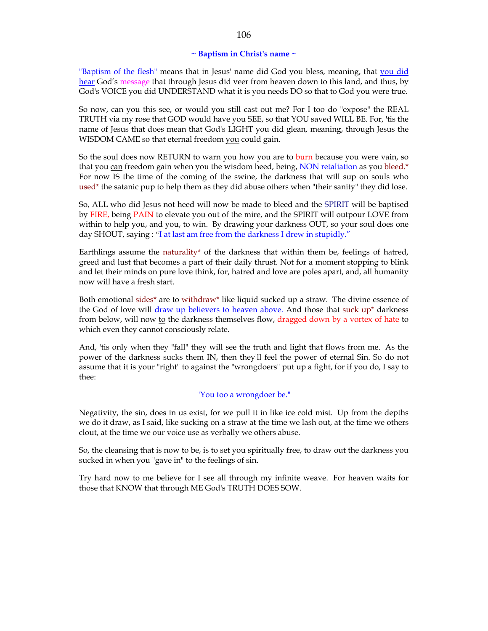### **~ Baptism in Christ's name ~**

"Baptism of the flesh" means that in Jesus' name did God you bless, meaning, that you did hear God's message that through Jesus did veer from heaven down to this land, and thus, by God's VOICE you did UNDERSTAND what it is you needs DO so that to God you were true.

So now, can you this see, or would you still cast out me? For I too do "expose" the REAL TRUTH via my rose that GOD would have you SEE, so that YOU saved WILL BE. For, 'tis the name of Jesus that does mean that God's LIGHT you did glean, meaning, through Jesus the WISDOM CAME so that eternal freedom you could gain.

So the soul does now RETURN to warn you how you are to burn because you were vain, so that you can freedom gain when you the wisdom heed, being, NON retaliation as you bleed.\* For now IS the time of the coming of the swine, the darkness that will sup on souls who used\* the satanic pup to help them as they did abuse others when "their sanity" they did lose.

So, ALL who did Jesus not heed will now be made to bleed and the SPIRIT will be baptised by FIRE, being PAIN to elevate you out of the mire, and the SPIRIT will outpour LOVE from within to help you, and you, to win. By drawing your darkness OUT, so your soul does one day SHOUT, saying : "I at last am free from the darkness I drew in stupidly."

Earthlings assume the naturality\* of the darkness that within them be, feelings of hatred, greed and lust that becomes a part of their daily thrust. Not for a moment stopping to blink and let their minds on pure love think, for, hatred and love are poles apart, and, all humanity now will have a fresh start.

Both emotional sides\* are to withdraw\* like liquid sucked up a straw. The divine essence of the God of love will draw up believers to heaven above. And those that suck up\* darkness from below, will now to the darkness themselves flow, dragged down by a vortex of hate to which even they cannot consciously relate.

And, 'tis only when they "fall" they will see the truth and light that flows from me. As the power of the darkness sucks them IN, then they'll feel the power of eternal Sin. So do not assume that it is your "right" to against the "wrongdoers" put up a fight, for if you do, I say to thee:

## "You too a wrongdoer be."

Negativity, the sin, does in us exist, for we pull it in like ice cold mist. Up from the depths we do it draw, as I said, like sucking on a straw at the time we lash out, at the time we others clout, at the time we our voice use as verbally we others abuse.

So, the cleansing that is now to be, is to set you spiritually free, to draw out the darkness you sucked in when you "gave in" to the feelings of sin.

Try hard now to me believe for I see all through my infinite weave. For heaven waits for those that KNOW that through ME God's TRUTH DOES SOW.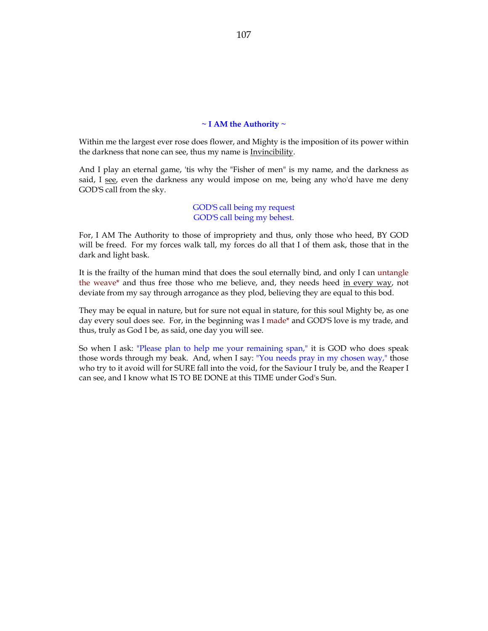#### **~ I AM the Authority ~**

Within me the largest ever rose does flower, and Mighty is the imposition of its power within the darkness that none can see, thus my name is Invincibility.

And I play an eternal game, 'tis why the "Fisher of men" is my name, and the darkness as said, I see, even the darkness any would impose on me, being any who'd have me deny GOD'S call from the sky.

> GOD'S call being my request GOD'S call being my behest.

For, I AM The Authority to those of impropriety and thus, only those who heed, BY GOD will be freed. For my forces walk tall, my forces do all that I of them ask, those that in the dark and light bask.

It is the frailty of the human mind that does the soul eternally bind, and only I can untangle the weave\* and thus free those who me believe, and, they needs heed in every way, not deviate from my say through arrogance as they plod, believing they are equal to this bod.

They may be equal in nature, but for sure not equal in stature, for this soul Mighty be, as one day every soul does see. For, in the beginning was I made\* and GOD'S love is my trade, and thus, truly as God I be, as said, one day you will see.

So when I ask: "Please plan to help me your remaining span," it is GOD who does speak those words through my beak. And, when I say: "You needs pray in my chosen way," those who try to it avoid will for SURE fall into the void, for the Saviour I truly be, and the Reaper I can see, and I know what IS TO BE DONE at this TIME under God's Sun.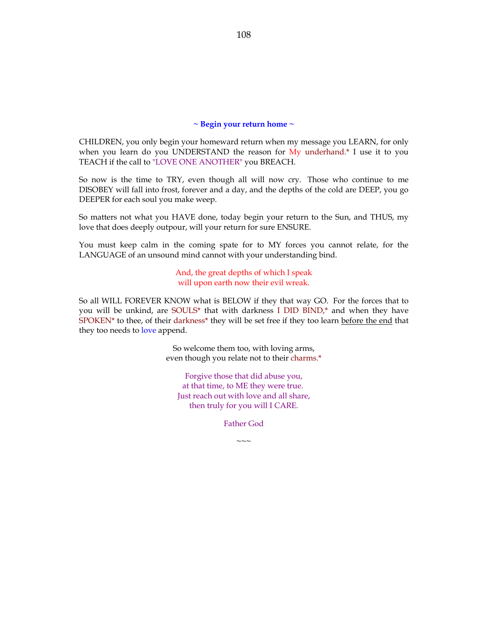#### **~ Begin your return home ~**

CHILDREN, you only begin your homeward return when my message you LEARN, for only when you learn do you UNDERSTAND the reason for  $My$  underhand.<sup>\*</sup> I use it to you TEACH if the call to "LOVE ONE ANOTHER" you BREACH.

So now is the time to TRY, even though all will now cry. Those who continue to me DISOBEY will fall into frost, forever and a day, and the depths of the cold are DEEP, you go DEEPER for each soul you make weep.

So matters not what you HAVE done, today begin your return to the Sun, and THUS, my love that does deeply outpour, will your return for sure ENSURE.

You must keep calm in the coming spate for to MY forces you cannot relate, for the LANGUAGE of an unsound mind cannot with your understanding bind.

> And, the great depths of which I speak will upon earth now their evil wreak.

So all WILL FOREVER KNOW what is BELOW if they that way GO. For the forces that to you will be unkind, are SOULS\* that with darkness I DID BIND,\* and when they have SPOKEN\* to thee, of their darkness\* they will be set free if they too learn before the end that they too needs to love append.

> So welcome them too, with loving arms, even though you relate not to their charms.\*

Forgive those that did abuse you, at that time, to ME they were true. Just reach out with love and all share, then truly for you will I CARE.

Father God

 $\sim\sim\sim$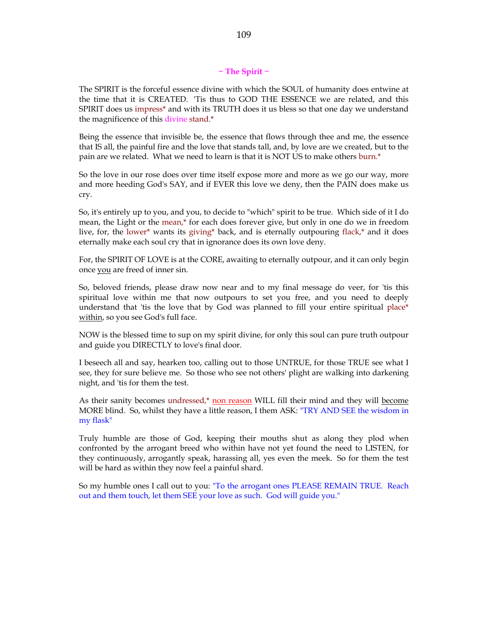## **~ The Spirit ~**

The SPIRIT is the forceful essence divine with which the SOUL of humanity does entwine at the time that it is CREATED. 'Tis thus to GOD THE ESSENCE we are related, and this SPIRIT does us impress\* and with its TRUTH does it us bless so that one day we understand the magnificence of this divine stand.\*

Being the essence that invisible be, the essence that flows through thee and me, the essence that IS all, the painful fire and the love that stands tall, and, by love are we created, but to the pain are we related. What we need to learn is that it is NOT US to make others burn.\*

So the love in our rose does over time itself expose more and more as we go our way, more and more heeding God's SAY, and if EVER this love we deny, then the PAIN does make us cry.

So, it's entirely up to you, and you, to decide to "which" spirit to be true. Which side of it I do mean, the Light or the mean,\* for each does forever give, but only in one do we in freedom live, for, the lower\* wants its giving\* back, and is eternally outpouring flack,\* and it does eternally make each soul cry that in ignorance does its own love deny.

For, the SPIRIT OF LOVE is at the CORE, awaiting to eternally outpour, and it can only begin once you are freed of inner sin.

So, beloved friends, please draw now near and to my final message do veer, for 'tis this spiritual love within me that now outpours to set you free, and you need to deeply understand that 'tis the love that by God was planned to fill your entire spiritual place\* within, so you see God's full face.

NOW is the blessed time to sup on my spirit divine, for only this soul can pure truth outpour and guide you DIRECTLY to love's final door.

I beseech all and say, hearken too, calling out to those UNTRUE, for those TRUE see what I see, they for sure believe me. So those who see not others' plight are walking into darkening night, and 'tis for them the test.

As their sanity becomes undressed,\* non reason WILL fill their mind and they will become MORE blind. So, whilst they have a little reason, I them ASK: "TRY AND SEE the wisdom in my flask"

Truly humble are those of God, keeping their mouths shut as along they plod when confronted by the arrogant breed who within have not yet found the need to LISTEN, for they continuously, arrogantly speak, harassing all, yes even the meek. So for them the test will be hard as within they now feel a painful shard.

So my humble ones I call out to you: "To the arrogant ones PLEASE REMAIN TRUE. Reach out and them touch, let them SEE your love as such. God will guide you."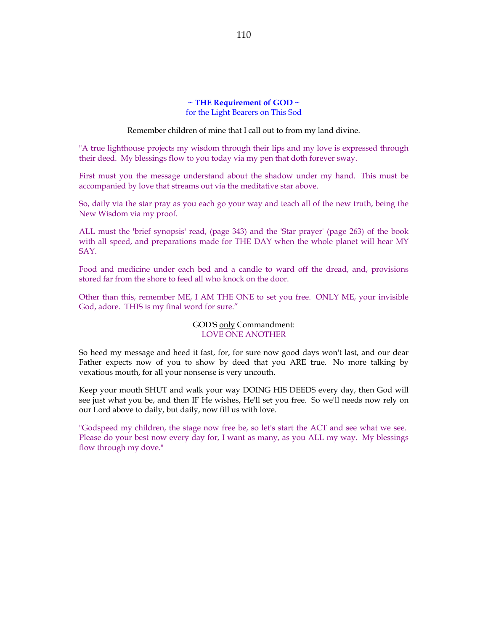# **~ THE Requirement of GOD ~** for the Light Bearers on This Sod

Remember children of mine that I call out to from my land divine.

"A true lighthouse projects my wisdom through their lips and my love is expressed through their deed. My blessings flow to you today via my pen that doth forever sway.

First must you the message understand about the shadow under my hand. This must be accompanied by love that streams out via the meditative star above.

So, daily via the star pray as you each go your way and teach all of the new truth, being the New Wisdom via my proof.

ALL must the 'brief synopsis' read, (page 343) and the 'Star prayer' (page 263) of the book with all speed, and preparations made for THE DAY when the whole planet will hear MY SAY.

Food and medicine under each bed and a candle to ward off the dread, and, provisions stored far from the shore to feed all who knock on the door.

Other than this, remember ME, I AM THE ONE to set you free. ONLY ME, your invisible God, adore. THIS is my final word for sure."

## GOD'S only Commandment: LOVE ONE ANOTHER

So heed my message and heed it fast, for, for sure now good days won't last, and our dear Father expects now of you to show by deed that you ARE true. No more talking by vexatious mouth, for all your nonsense is very uncouth.

Keep your mouth SHUT and walk your way DOING HIS DEEDS every day, then God will see just what you be, and then IF He wishes, He'll set you free. So we'll needs now rely on our Lord above to daily, but daily, now fill us with love.

"Godspeed my children, the stage now free be, so let's start the ACT and see what we see. Please do your best now every day for, I want as many, as you ALL my way. My blessings flow through my dove."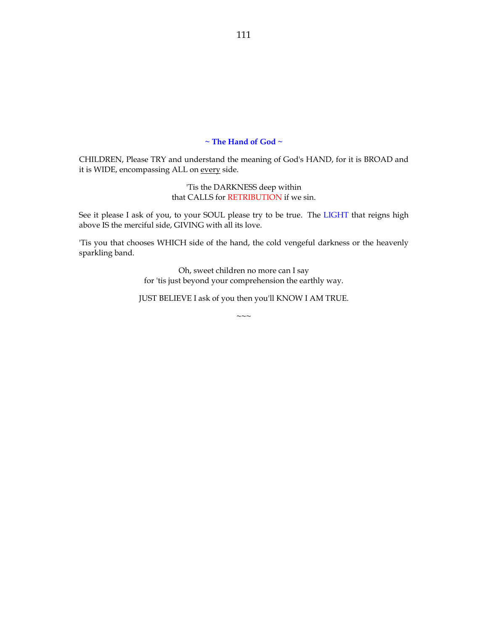# **~ The Hand of God ~**

CHILDREN, Please TRY and understand the meaning of God's HAND, for it is BROAD and it is WIDE, encompassing ALL on every side.

> 'Tis the DARKNESS deep within that CALLS for RETRIBUTION if we sin.

See it please I ask of you, to your SOUL please try to be true. The LIGHT that reigns high above IS the merciful side, GIVING with all its love.

'Tis you that chooses WHICH side of the hand, the cold vengeful darkness or the heavenly sparkling band.

> Oh, sweet children no more can I say for 'tis just beyond your comprehension the earthly way.

JUST BELIEVE I ask of you then you'll KNOW I AM TRUE.

 $\sim$ 

111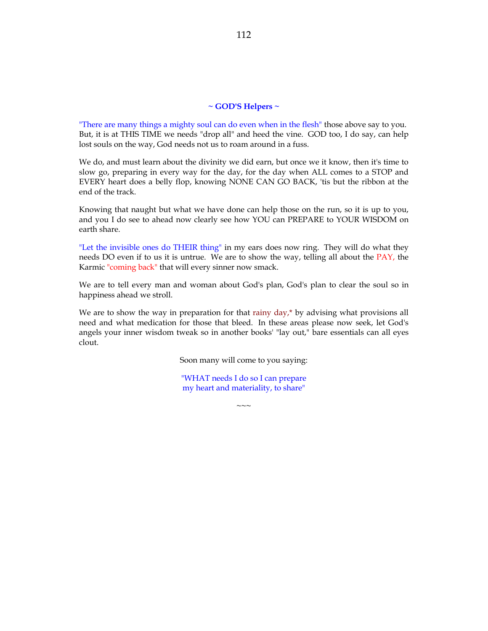#### **~ GOD'S Helpers ~**

"There are many things a mighty soul can do even when in the flesh" those above say to you. But, it is at THIS TIME we needs "drop all" and heed the vine. GOD too, I do say, can help lost souls on the way, God needs not us to roam around in a fuss.

We do, and must learn about the divinity we did earn, but once we it know, then it's time to slow go, preparing in every way for the day, for the day when ALL comes to a STOP and EVERY heart does a belly flop, knowing NONE CAN GO BACK, 'tis but the ribbon at the end of the track.

Knowing that naught but what we have done can help those on the run, so it is up to you, and you I do see to ahead now clearly see how YOU can PREPARE to YOUR WISDOM on earth share.

"Let the invisible ones do THEIR thing" in my ears does now ring. They will do what they needs DO even if to us it is untrue. We are to show the way, telling all about the PAY, the Karmic "coming back" that will every sinner now smack.

We are to tell every man and woman about God's plan, God's plan to clear the soul so in happiness ahead we stroll.

We are to show the way in preparation for that rainy  $day$ , by advising what provisions all need and what medication for those that bleed. In these areas please now seek, let God's angels your inner wisdom tweak so in another books' "lay out," bare essentials can all eyes clout.

Soon many will come to you saying:

"WHAT needs I do so I can prepare my heart and materiality, to share"

 $\sim\sim\sim$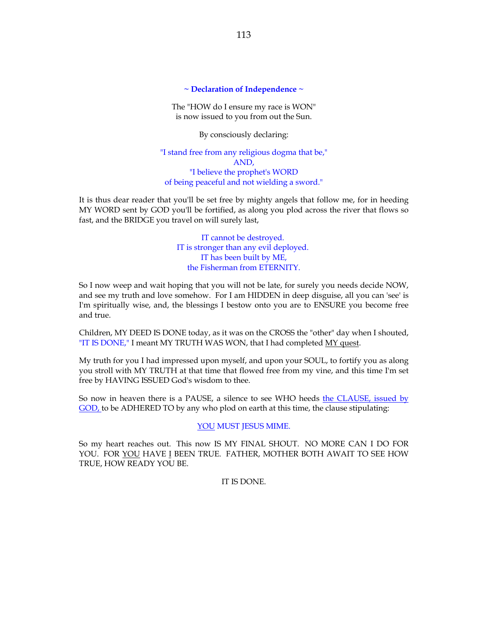### **~ Declaration of Independence ~**

The "HOW do I ensure my race is WON" is now issued to you from out the Sun.

By consciously declaring:

"I stand free from any religious dogma that be," AND, "I believe the prophet's WORD of being peaceful and not wielding a sword."

It is thus dear reader that you'll be set free by mighty angels that follow me, for in heeding MY WORD sent by GOD you'll be fortified, as along you plod across the river that flows so fast, and the BRIDGE you travel on will surely last,

> IT cannot be destroyed. IT is stronger than any evil deployed. IT has been built by ME, the Fisherman from ETERNITY.

So I now weep and wait hoping that you will not be late, for surely you needs decide NOW, and see my truth and love somehow. For I am HIDDEN in deep disguise, all you can 'see' is I'm spiritually wise, and, the blessings I bestow onto you are to ENSURE you become free and true.

Children, MY DEED IS DONE today, as it was on the CROSS the "other" day when I shouted, "IT IS DONE," I meant MY TRUTH WAS WON, that I had completed MY quest.

My truth for you I had impressed upon myself, and upon your SOUL, to fortify you as along you stroll with MY TRUTH at that time that flowed free from my vine, and this time I'm set free by HAVING ISSUED God's wisdom to thee.

So now in heaven there is a PAUSE, a silence to see WHO heeds the CLAUSE, issued by GOD, to be ADHERED TO by any who plod on earth at this time, the clause stipulating:

# YOU MUST JESUS MIME.

So my heart reaches out. This now IS MY FINAL SHOUT. NO MORE CAN I DO FOR YOU. FOR YOU HAVE I BEEN TRUE. FATHER, MOTHER BOTH AWAIT TO SEE HOW TRUE, HOW READY YOU BE.

IT IS DONE.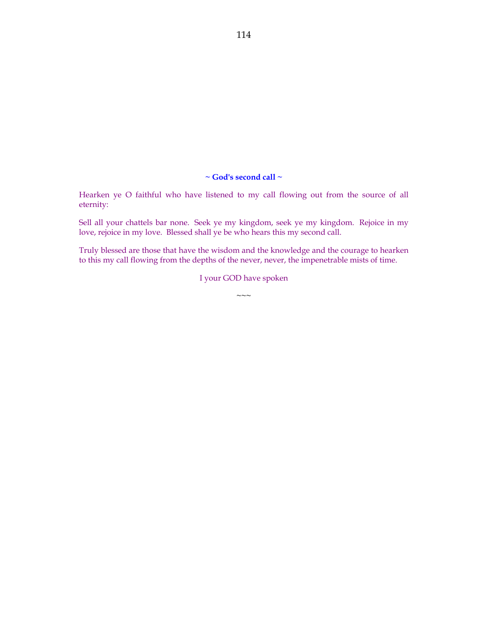# **~ God's second call ~**

Hearken ye O faithful who have listened to my call flowing out from the source of all eternity:

Sell all your chattels bar none. Seek ye my kingdom, seek ye my kingdom. Rejoice in my love, rejoice in my love. Blessed shall ye be who hears this my second call.

Truly blessed are those that have the wisdom and the knowledge and the courage to hearken to this my call flowing from the depths of the never, never, the impenetrable mists of time.

I your GOD have spoken

 $\sim\sim\sim$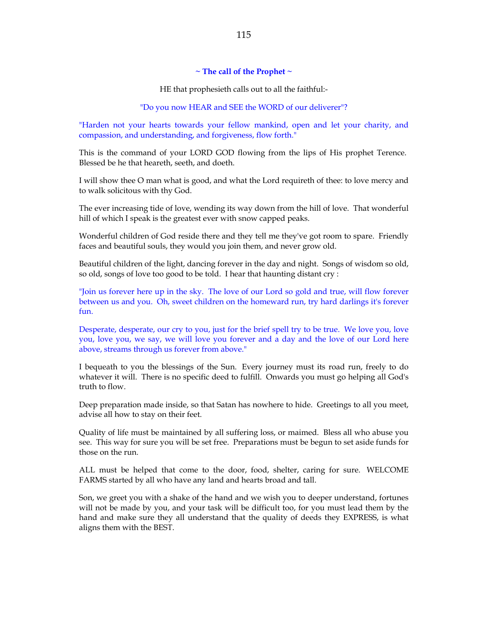#### **~ The call of the Prophet ~**

HE that prophesieth calls out to all the faithful:-

#### "Do you now HEAR and SEE the WORD of our deliverer"?

"Harden not your hearts towards your fellow mankind, open and let your charity, and compassion, and understanding, and forgiveness, flow forth."

This is the command of your LORD GOD flowing from the lips of His prophet Terence. Blessed be he that heareth, seeth, and doeth.

I will show thee O man what is good, and what the Lord requireth of thee: to love mercy and to walk solicitous with thy God.

The ever increasing tide of love, wending its way down from the hill of love. That wonderful hill of which I speak is the greatest ever with snow capped peaks.

Wonderful children of God reside there and they tell me they've got room to spare. Friendly faces and beautiful souls, they would you join them, and never grow old.

Beautiful children of the light, dancing forever in the day and night. Songs of wisdom so old, so old, songs of love too good to be told. I hear that haunting distant cry :

"Join us forever here up in the sky. The love of our Lord so gold and true, will flow forever between us and you. Oh, sweet children on the homeward run, try hard darlings it's forever fun.

Desperate, desperate, our cry to you, just for the brief spell try to be true. We love you, love you, love you, we say, we will love you forever and a day and the love of our Lord here above, streams through us forever from above."

I bequeath to you the blessings of the Sun. Every journey must its road run, freely to do whatever it will. There is no specific deed to fulfill. Onwards you must go helping all God's truth to flow.

Deep preparation made inside, so that Satan has nowhere to hide. Greetings to all you meet, advise all how to stay on their feet.

Quality of life must be maintained by all suffering loss, or maimed. Bless all who abuse you see. This way for sure you will be set free. Preparations must be begun to set aside funds for those on the run.

ALL must be helped that come to the door, food, shelter, caring for sure. WELCOME FARMS started by all who have any land and hearts broad and tall.

Son, we greet you with a shake of the hand and we wish you to deeper understand, fortunes will not be made by you, and your task will be difficult too, for you must lead them by the hand and make sure they all understand that the quality of deeds they EXPRESS, is what aligns them with the BEST.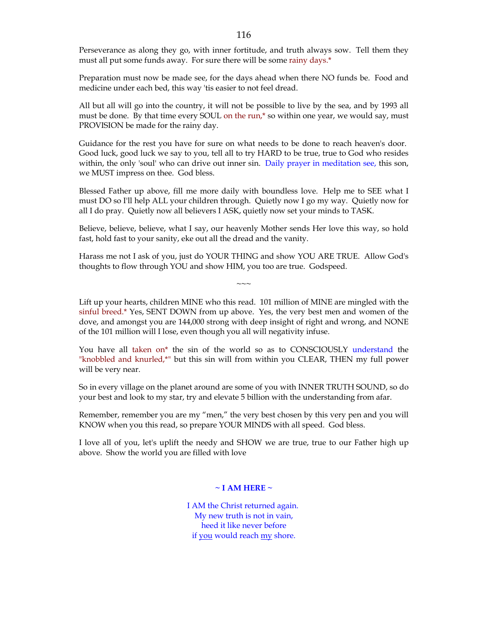Perseverance as along they go, with inner fortitude, and truth always sow. Tell them they must all put some funds away. For sure there will be some rainy days.\*

Preparation must now be made see, for the days ahead when there NO funds be. Food and medicine under each bed, this way 'tis easier to not feel dread.

All but all will go into the country, it will not be possible to live by the sea, and by 1993 all must be done. By that time every SOUL on the run,\* so within one year, we would say, must PROVISION be made for the rainy day.

Guidance for the rest you have for sure on what needs to be done to reach heaven's door. Good luck, good luck we say to you, tell all to try HARD to be true, true to God who resides within, the only 'soul' who can drive out inner sin. Daily prayer in meditation see, this son, we MUST impress on thee. God bless.

Blessed Father up above, fill me more daily with boundless love. Help me to SEE what I must DO so I'll help ALL your children through. Quietly now I go my way. Quietly now for all I do pray. Quietly now all believers I ASK, quietly now set your minds to TASK.

Believe, believe, believe, what I say, our heavenly Mother sends Her love this way, so hold fast, hold fast to your sanity, eke out all the dread and the vanity.

Harass me not I ask of you, just do YOUR THING and show YOU ARE TRUE. Allow God's thoughts to flow through YOU and show HIM, you too are true. Godspeed.

 $\sim\sim\sim$ 

Lift up your hearts, children MINE who this read. 101 million of MINE are mingled with the sinful breed.\* Yes, SENT DOWN from up above. Yes, the very best men and women of the dove, and amongst you are 144,000 strong with deep insight of right and wrong, and NONE of the 101 million will I lose, even though you all will negativity infuse.

You have all taken on\* the sin of the world so as to CONSCIOUSLY understand the "knobbled and knurled,\*" but this sin will from within you CLEAR, THEN my full power will be very near.

So in every village on the planet around are some of you with INNER TRUTH SOUND, so do your best and look to my star, try and elevate 5 billion with the understanding from afar.

Remember, remember you are my "men," the very best chosen by this very pen and you will KNOW when you this read, so prepare YOUR MINDS with all speed. God bless.

I love all of you, let's uplift the needy and SHOW we are true, true to our Father high up above. Show the world you are filled with love

### **~ I AM HERE ~**

I AM the Christ returned again. My new truth is not in vain, heed it like never before if you would reach my shore.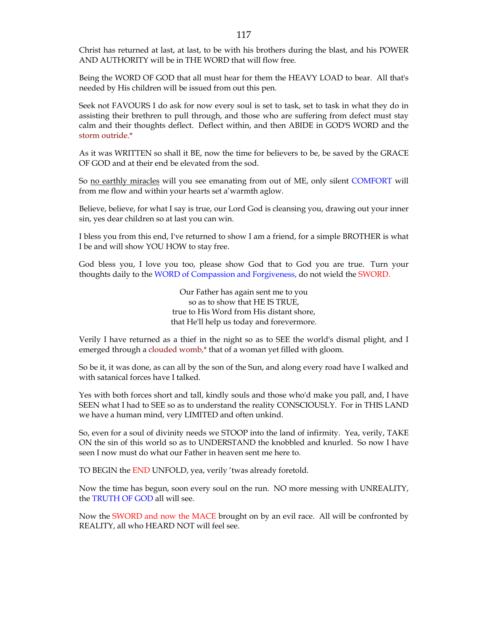Christ has returned at last, at last, to be with his brothers during the blast, and his POWER AND AUTHORITY will be in THE WORD that will flow free.

Being the WORD OF GOD that all must hear for them the HEAVY LOAD to bear. All that's needed by His children will be issued from out this pen.

Seek not FAVOURS I do ask for now every soul is set to task, set to task in what they do in assisting their brethren to pull through, and those who are suffering from defect must stay calm and their thoughts deflect. Deflect within, and then ABIDE in GOD'S WORD and the storm outride.\*

As it was WRITTEN so shall it BE, now the time for believers to be, be saved by the GRACE OF GOD and at their end be elevated from the sod.

So no earthly miracles will you see emanating from out of ME, only silent COMFORT will from me flow and within your hearts set a'warmth aglow.

Believe, believe, for what I say is true, our Lord God is cleansing you, drawing out your inner sin, yes dear children so at last you can win.

I bless you from this end, I've returned to show I am a friend, for a simple BROTHER is what I be and will show YOU HOW to stay free.

God bless you, I love you too, please show God that to God you are true. Turn your thoughts daily to the WORD of Compassion and Forgiveness, do not wield the SWORD.

> Our Father has again sent me to you so as to show that HE IS TRUE, true to His Word from His distant shore, that He'll help us today and forevermore.

Verily I have returned as a thief in the night so as to SEE the world's dismal plight, and I emerged through a clouded womb,\* that of a woman yet filled with gloom.

So be it, it was done, as can all by the son of the Sun, and along every road have I walked and with satanical forces have I talked.

Yes with both forces short and tall, kindly souls and those who'd make you pall, and, I have SEEN what I had to SEE so as to understand the reality CONSCIOUSLY. For in THIS LAND we have a human mind, very LIMITED and often unkind.

So, even for a soul of divinity needs we STOOP into the land of infirmity. Yea, verily, TAKE ON the sin of this world so as to UNDERSTAND the knobbled and knurled. So now I have seen I now must do what our Father in heaven sent me here to.

TO BEGIN the END UNFOLD, yea, verily 'twas already foretold.

Now the time has begun, soon every soul on the run. NO more messing with UNREALITY, the TRUTH OF GOD all will see.

Now the SWORD and now the MACE brought on by an evil race. All will be confronted by REALITY, all who HEARD NOT will feel see.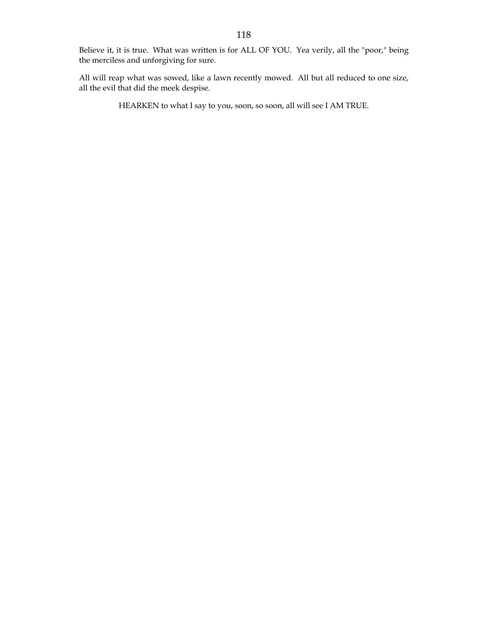Believe it, it is true. What was written is for ALL OF YOU. Yea verily, all the "poor," being the merciless and unforgiving for sure.

All will reap what was sowed, like a lawn recently mowed. All but all reduced to one size, all the evil that did the meek despise.

HEARKEN to what I say to you, soon, so soon, all will see I AM TRUE.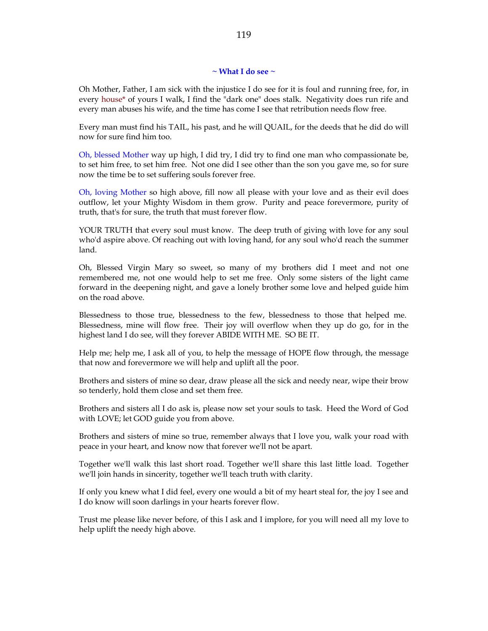#### **~ What I do see ~**

Oh Mother, Father, I am sick with the injustice I do see for it is foul and running free, for, in every house\* of yours I walk, I find the "dark one" does stalk. Negativity does run rife and every man abuses his wife, and the time has come I see that retribution needs flow free.

Every man must find his TAIL, his past, and he will QUAIL, for the deeds that he did do will now for sure find him too.

Oh, blessed Mother way up high, I did try, I did try to find one man who compassionate be, to set him free, to set him free. Not one did I see other than the son you gave me, so for sure now the time be to set suffering souls forever free.

Oh, loving Mother so high above, fill now all please with your love and as their evil does outflow, let your Mighty Wisdom in them grow. Purity and peace forevermore, purity of truth, that's for sure, the truth that must forever flow.

YOUR TRUTH that every soul must know. The deep truth of giving with love for any soul who'd aspire above. Of reaching out with loving hand, for any soul who'd reach the summer land.

Oh, Blessed Virgin Mary so sweet, so many of my brothers did I meet and not one remembered me, not one would help to set me free. Only some sisters of the light came forward in the deepening night, and gave a lonely brother some love and helped guide him on the road above.

Blessedness to those true, blessedness to the few, blessedness to those that helped me. Blessedness, mine will flow free. Their joy will overflow when they up do go, for in the highest land I do see, will they forever ABIDE WITH ME. SO BE IT.

Help me; help me, I ask all of you, to help the message of HOPE flow through, the message that now and forevermore we will help and uplift all the poor.

Brothers and sisters of mine so dear, draw please all the sick and needy near, wipe their brow so tenderly, hold them close and set them free.

Brothers and sisters all I do ask is, please now set your souls to task. Heed the Word of God with LOVE; let GOD guide you from above.

Brothers and sisters of mine so true, remember always that I love you, walk your road with peace in your heart, and know now that forever we'll not be apart.

Together we'll walk this last short road. Together we'll share this last little load. Together we'll join hands in sincerity, together we'll teach truth with clarity.

If only you knew what I did feel, every one would a bit of my heart steal for, the joy I see and I do know will soon darlings in your hearts forever flow.

Trust me please like never before, of this I ask and I implore, for you will need all my love to help uplift the needy high above.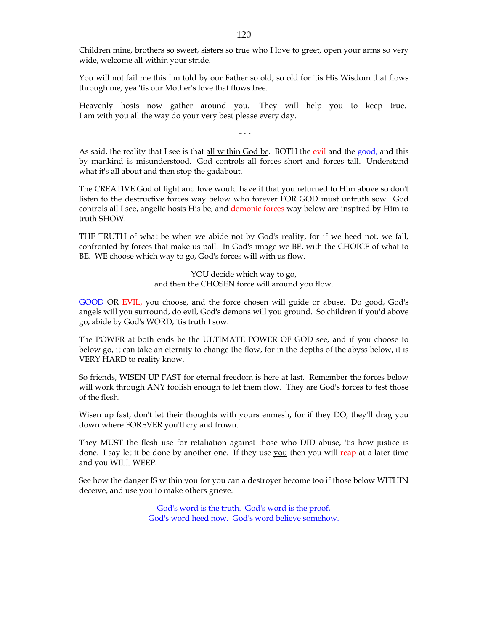Children mine, brothers so sweet, sisters so true who I love to greet, open your arms so very wide, welcome all within your stride.

You will not fail me this I'm told by our Father so old, so old for 'tis His Wisdom that flows through me, yea 'tis our Mother's love that flows free.

Heavenly hosts now gather around you. They will help you to keep true. I am with you all the way do your very best please every day.

 $\sim\sim\sim$ 

As said, the reality that I see is that all within God be. BOTH the evil and the good, and this by mankind is misunderstood. God controls all forces short and forces tall. Understand what it's all about and then stop the gadabout.

The CREATIVE God of light and love would have it that you returned to Him above so don't listen to the destructive forces way below who forever FOR GOD must untruth sow. God controls all I see, angelic hosts His be, and demonic forces way below are inspired by Him to truth SHOW.

THE TRUTH of what be when we abide not by God's reality, for if we heed not, we fall, confronted by forces that make us pall. In God's image we BE, with the CHOICE of what to BE. WE choose which way to go, God's forces will with us flow.

> YOU decide which way to go, and then the CHOSEN force will around you flow.

GOOD OR EVIL, you choose, and the force chosen will guide or abuse. Do good, God's angels will you surround, do evil, God's demons will you ground. So children if you'd above go, abide by God's WORD, 'tis truth I sow.

The POWER at both ends be the ULTIMATE POWER OF GOD see, and if you choose to below go, it can take an eternity to change the flow, for in the depths of the abyss below, it is VERY HARD to reality know.

So friends, WISEN UP FAST for eternal freedom is here at last. Remember the forces below will work through ANY foolish enough to let them flow. They are God's forces to test those of the flesh.

Wisen up fast, don't let their thoughts with yours enmesh, for if they DO, they'll drag you down where FOREVER you'll cry and frown.

They MUST the flesh use for retaliation against those who DID abuse, 'tis how justice is done. I say let it be done by another one. If they use you then you will reap at a later time and you WILL WEEP.

See how the danger IS within you for you can a destroyer become too if those below WITHIN deceive, and use you to make others grieve.

> God's word is the truth. God's word is the proof, God's word heed now. God's word believe somehow.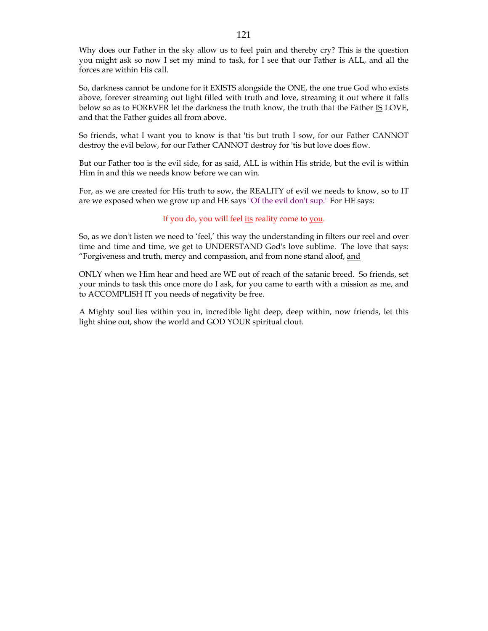Why does our Father in the sky allow us to feel pain and thereby cry? This is the question you might ask so now I set my mind to task, for I see that our Father is ALL, and all the forces are within His call.

So, darkness cannot be undone for it EXISTS alongside the ONE, the one true God who exists above, forever streaming out light filled with truth and love, streaming it out where it falls below so as to FOREVER let the darkness the truth know, the truth that the Father IS LOVE, and that the Father guides all from above.

So friends, what I want you to know is that 'tis but truth I sow, for our Father CANNOT destroy the evil below, for our Father CANNOT destroy for 'tis but love does flow.

But our Father too is the evil side, for as said, ALL is within His stride, but the evil is within Him in and this we needs know before we can win.

For, as we are created for His truth to sow, the REALITY of evil we needs to know, so to IT are we exposed when we grow up and HE says "Of the evil don't sup." For HE says:

### If you do, you will feel its reality come to you.

So, as we don't listen we need to 'feel,' this way the understanding in filters our reel and over time and time and time, we get to UNDERSTAND God's love sublime. The love that says: "Forgiveness and truth, mercy and compassion, and from none stand aloof, and

ONLY when we Him hear and heed are WE out of reach of the satanic breed. So friends, set your minds to task this once more do I ask, for you came to earth with a mission as me, and to ACCOMPLISH IT you needs of negativity be free.

A Mighty soul lies within you in, incredible light deep, deep within, now friends, let this light shine out, show the world and GOD YOUR spiritual clout.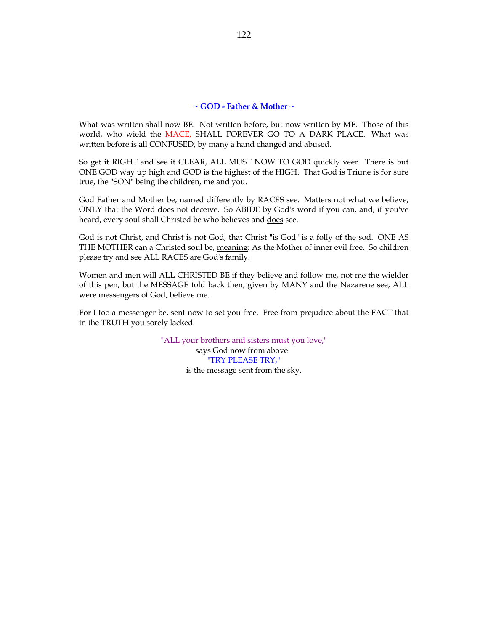# **~ GOD - Father & Mother ~**

What was written shall now BE. Not written before, but now written by ME. Those of this world, who wield the MACE, SHALL FOREVER GO TO A DARK PLACE. What was written before is all CONFUSED, by many a hand changed and abused.

So get it RIGHT and see it CLEAR, ALL MUST NOW TO GOD quickly veer. There is but ONE GOD way up high and GOD is the highest of the HIGH. That God is Triune is for sure true, the "SON" being the children, me and you.

God Father and Mother be, named differently by RACES see. Matters not what we believe, ONLY that the Word does not deceive. So ABIDE by God's word if you can, and, if you've heard, every soul shall Christed be who believes and does see.

God is not Christ, and Christ is not God, that Christ "is God" is a folly of the sod. ONE AS THE MOTHER can a Christed soul be, meaning: As the Mother of inner evil free. So children please try and see ALL RACES are God's family.

Women and men will ALL CHRISTED BE if they believe and follow me, not me the wielder of this pen, but the MESSAGE told back then, given by MANY and the Nazarene see, ALL were messengers of God, believe me.

For I too a messenger be, sent now to set you free. Free from prejudice about the FACT that in the TRUTH you sorely lacked.

> "ALL your brothers and sisters must you love," says God now from above. "TRY PLEASE TRY," is the message sent from the sky.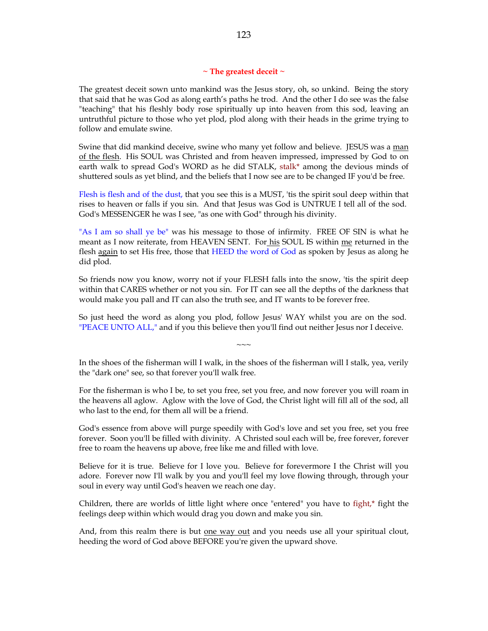#### **~ The greatest deceit ~**

The greatest deceit sown unto mankind was the Jesus story, oh, so unkind. Being the story that said that he was God as along earth's paths he trod. And the other I do see was the false "teaching" that his fleshly body rose spiritually up into heaven from this sod, leaving an untruthful picture to those who yet plod, plod along with their heads in the grime trying to follow and emulate swine.

Swine that did mankind deceive, swine who many yet follow and believe. JESUS was a man of the flesh. His SOUL was Christed and from heaven impressed, impressed by God to on earth walk to spread God's WORD as he did STALK, stalk\* among the devious minds of shuttered souls as yet blind, and the beliefs that I now see are to be changed IF you'd be free.

Flesh is flesh and of the dust, that you see this is a MUST, 'tis the spirit soul deep within that rises to heaven or falls if you sin. And that Jesus was God is UNTRUE I tell all of the sod. God's MESSENGER he was I see, "as one with God" through his divinity.

"As I am so shall ye be" was his message to those of infirmity. FREE OF SIN is what he meant as I now reiterate, from HEAVEN SENT. For his SOUL IS within me returned in the flesh again to set His free, those that HEED the word of God as spoken by Jesus as along he did plod.

So friends now you know, worry not if your FLESH falls into the snow, 'tis the spirit deep within that CARES whether or not you sin. For IT can see all the depths of the darkness that would make you pall and IT can also the truth see, and IT wants to be forever free.

So just heed the word as along you plod, follow Jesus' WAY whilst you are on the sod. "PEACE UNTO ALL," and if you this believe then you'll find out neither Jesus nor I deceive.

In the shoes of the fisherman will I walk, in the shoes of the fisherman will I stalk, yea, verily the "dark one" see, so that forever you'll walk free.

 $\sim\sim\sim$ 

For the fisherman is who I be, to set you free, set you free, and now forever you will roam in the heavens all aglow. Aglow with the love of God, the Christ light will fill all of the sod, all who last to the end, for them all will be a friend.

God's essence from above will purge speedily with God's love and set you free, set you free forever. Soon you'll be filled with divinity. A Christed soul each will be, free forever, forever free to roam the heavens up above, free like me and filled with love.

Believe for it is true. Believe for I love you. Believe for forevermore I the Christ will you adore. Forever now I'll walk by you and you'll feel my love flowing through, through your soul in every way until God's heaven we reach one day.

Children, there are worlds of little light where once "entered" you have to fight,\* fight the feelings deep within which would drag you down and make you sin.

And, from this realm there is but one way out and you needs use all your spiritual clout, heeding the word of God above BEFORE you're given the upward shove.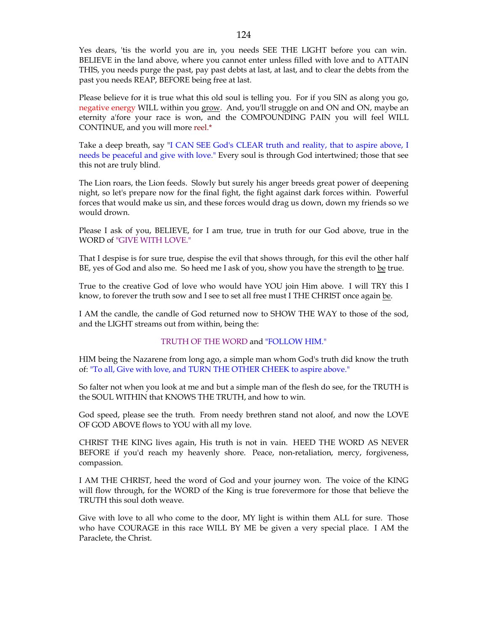Yes dears, 'tis the world you are in, you needs SEE THE LIGHT before you can win. BELIEVE in the land above, where you cannot enter unless filled with love and to ATTAIN THIS, you needs purge the past, pay past debts at last, at last, and to clear the debts from the past you needs REAP, BEFORE being free at last.

Please believe for it is true what this old soul is telling you. For if you SIN as along you go, negative energy WILL within you grow. And, you'll struggle on and ON and ON, maybe an eternity a'fore your race is won, and the COMPOUNDING PAIN you will feel WILL CONTINUE, and you will more reel.\*

Take a deep breath, say "I CAN SEE God's CLEAR truth and reality, that to aspire above, I needs be peaceful and give with love." Every soul is through God intertwined; those that see this not are truly blind.

The Lion roars, the Lion feeds. Slowly but surely his anger breeds great power of deepening night, so let's prepare now for the final fight, the fight against dark forces within. Powerful forces that would make us sin, and these forces would drag us down, down my friends so we would drown.

Please I ask of you, BELIEVE, for I am true, true in truth for our God above, true in the WORD of "GIVE WITH LOVE."

That I despise is for sure true, despise the evil that shows through, for this evil the other half BE, yes of God and also me. So heed me I ask of you, show you have the strength to be true.

True to the creative God of love who would have YOU join Him above. I will TRY this I know, to forever the truth sow and I see to set all free must I THE CHRIST once again be.

I AM the candle, the candle of God returned now to SHOW THE WAY to those of the sod, and the LIGHT streams out from within, being the:

# TRUTH OF THE WORD and "FOLLOW HIM."

HIM being the Nazarene from long ago, a simple man whom God's truth did know the truth of: "To all, Give with love, and TURN THE OTHER CHEEK to aspire above."

So falter not when you look at me and but a simple man of the flesh do see, for the TRUTH is the SOUL WITHIN that KNOWS THE TRUTH, and how to win.

God speed, please see the truth. From needy brethren stand not aloof, and now the LOVE OF GOD ABOVE flows to YOU with all my love.

CHRIST THE KING lives again, His truth is not in vain. HEED THE WORD AS NEVER BEFORE if you'd reach my heavenly shore. Peace, non-retaliation, mercy, forgiveness, compassion.

I AM THE CHRIST, heed the word of God and your journey won. The voice of the KING will flow through, for the WORD of the King is true forevermore for those that believe the TRUTH this soul doth weave.

Give with love to all who come to the door, MY light is within them ALL for sure. Those who have COURAGE in this race WILL BY ME be given a very special place. I AM the Paraclete, the Christ.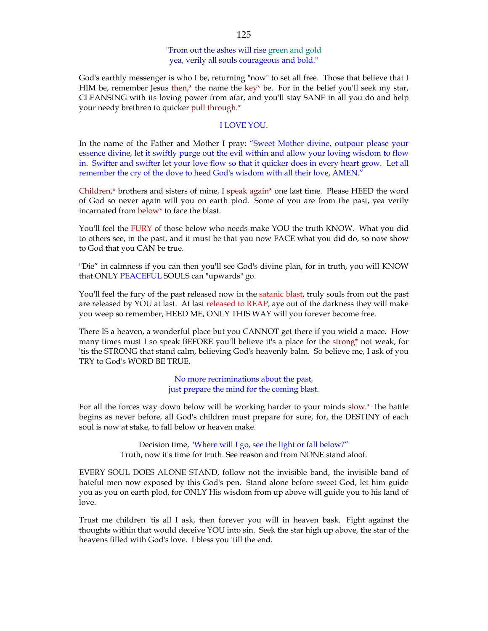# "From out the ashes will rise green and gold yea, verily all souls courageous and bold."

God's earthly messenger is who I be, returning "now" to set all free. Those that believe that I HIM be, remember Jesus  $\underline{then}^*$  the name the key\* be. For in the belief you'll seek my star, CLEANSING with its loving power from afar, and you'll stay SANE in all you do and help your needy brethren to quicker pull through.\*

## I LOVE YOU.

In the name of the Father and Mother I pray: "Sweet Mother divine, outpour please your essence divine, let it swiftly purge out the evil within and allow your loving wisdom to flow in. Swifter and swifter let your love flow so that it quicker does in every heart grow. Let all remember the cry of the dove to heed God's wisdom with all their love, AMEN."

Children,\* brothers and sisters of mine, I speak again\* one last time. Please HEED the word of God so never again will you on earth plod. Some of you are from the past, yea verily incarnated from below\* to face the blast.

You'll feel the FURY of those below who needs make YOU the truth KNOW. What you did to others see, in the past, and it must be that you now FACE what you did do, so now show to God that you CAN be true.

"Die" in calmness if you can then you'll see God's divine plan, for in truth, you will KNOW that ONLY PEACEFUL SOULS can "upwards" go.

You'll feel the fury of the past released now in the satanic blast, truly souls from out the past are released by YOU at last. At last released to REAP, aye out of the darkness they will make you weep so remember, HEED ME, ONLY THIS WAY will you forever become free.

There IS a heaven, a wonderful place but you CANNOT get there if you wield a mace. How many times must I so speak BEFORE you'll believe it's a place for the strong\* not weak, for 'tis the STRONG that stand calm, believing God's heavenly balm. So believe me, I ask of you TRY to God's WORD BE TRUE.

> No more recriminations about the past, just prepare the mind for the coming blast.

For all the forces way down below will be working harder to your minds slow.\* The battle begins as never before, all God's children must prepare for sure, for, the DESTINY of each soul is now at stake, to fall below or heaven make.

> Decision time, "Where will I go, see the light or fall below?" Truth, now it's time for truth. See reason and from NONE stand aloof.

EVERY SOUL DOES ALONE STAND, follow not the invisible band, the invisible band of hateful men now exposed by this God's pen. Stand alone before sweet God, let him guide you as you on earth plod, for ONLY His wisdom from up above will guide you to his land of love.

Trust me children 'tis all I ask, then forever you will in heaven bask. Fight against the thoughts within that would deceive YOU into sin. Seek the star high up above, the star of the heavens filled with God's love. I bless you 'till the end.

## 125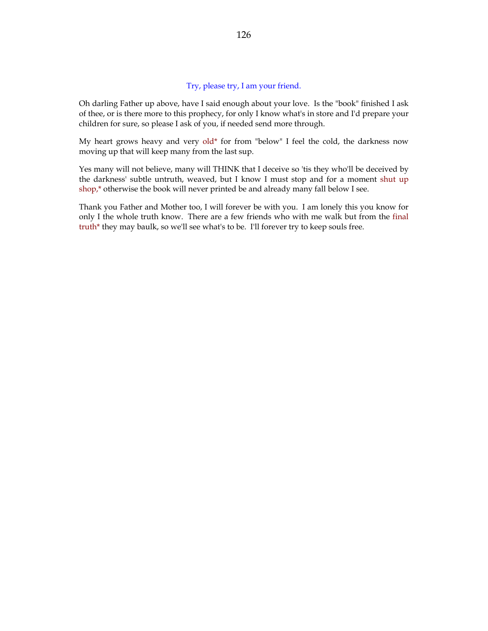# Try, please try, I am your friend.

Oh darling Father up above, have I said enough about your love. Is the "book" finished I ask of thee, or is there more to this prophecy, for only I know what's in store and I'd prepare your children for sure, so please I ask of you, if needed send more through.

My heart grows heavy and very old\* for from "below" I feel the cold, the darkness now moving up that will keep many from the last sup.

Yes many will not believe, many will THINK that I deceive so 'tis they who'll be deceived by the darkness' subtle untruth, weaved, but I know I must stop and for a moment shut up shop,\* otherwise the book will never printed be and already many fall below I see.

Thank you Father and Mother too, I will forever be with you. I am lonely this you know for only I the whole truth know. There are a few friends who with me walk but from the final truth\* they may baulk, so we'll see what's to be. I'll forever try to keep souls free.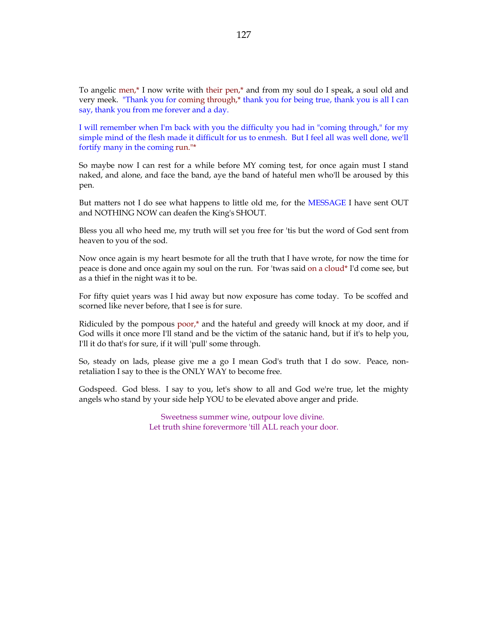To angelic men,\* I now write with their pen,\* and from my soul do I speak, a soul old and very meek. "Thank you for coming through,\* thank you for being true, thank you is all I can say, thank you from me forever and a day.

I will remember when I'm back with you the difficulty you had in "coming through," for my simple mind of the flesh made it difficult for us to enmesh. But I feel all was well done, we'll fortify many in the coming run."\*

So maybe now I can rest for a while before MY coming test, for once again must I stand naked, and alone, and face the band, aye the band of hateful men who'll be aroused by this pen.

But matters not I do see what happens to little old me, for the MESSAGE I have sent OUT and NOTHING NOW can deafen the King's SHOUT.

Bless you all who heed me, my truth will set you free for 'tis but the word of God sent from heaven to you of the sod.

Now once again is my heart besmote for all the truth that I have wrote, for now the time for peace is done and once again my soul on the run. For 'twas said on a cloud\* I'd come see, but as a thief in the night was it to be.

For fifty quiet years was I hid away but now exposure has come today. To be scoffed and scorned like never before, that I see is for sure.

Ridiculed by the pompous poor,\* and the hateful and greedy will knock at my door, and if God wills it once more I'll stand and be the victim of the satanic hand, but if it's to help you, I'll it do that's for sure, if it will 'pull' some through.

So, steady on lads, please give me a go I mean God's truth that I do sow. Peace, nonretaliation I say to thee is the ONLY WAY to become free.

Godspeed. God bless. I say to you, let's show to all and God we're true, let the mighty angels who stand by your side help YOU to be elevated above anger and pride.

> Sweetness summer wine, outpour love divine. Let truth shine forevermore 'till ALL reach your door.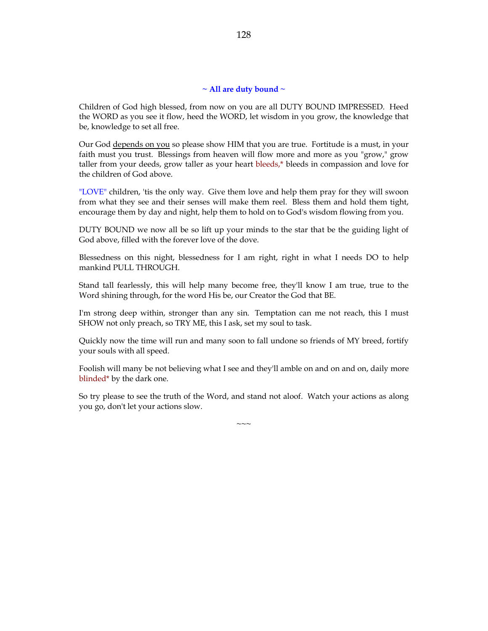### **~ All are duty bound ~**

Children of God high blessed, from now on you are all DUTY BOUND IMPRESSED. Heed the WORD as you see it flow, heed the WORD, let wisdom in you grow, the knowledge that be, knowledge to set all free.

Our God depends on you so please show HIM that you are true. Fortitude is a must, in your faith must you trust. Blessings from heaven will flow more and more as you "grow," grow taller from your deeds, grow taller as your heart bleeds,\* bleeds in compassion and love for the children of God above.

"LOVE" children, 'tis the only way. Give them love and help them pray for they will swoon from what they see and their senses will make them reel. Bless them and hold them tight, encourage them by day and night, help them to hold on to God's wisdom flowing from you.

DUTY BOUND we now all be so lift up your minds to the star that be the guiding light of God above, filled with the forever love of the dove.

Blessedness on this night, blessedness for I am right, right in what I needs DO to help mankind PULL THROUGH.

Stand tall fearlessly, this will help many become free, they'll know I am true, true to the Word shining through, for the word His be, our Creator the God that BE.

I'm strong deep within, stronger than any sin. Temptation can me not reach, this I must SHOW not only preach, so TRY ME, this I ask, set my soul to task.

Quickly now the time will run and many soon to fall undone so friends of MY breed, fortify your souls with all speed.

Foolish will many be not believing what I see and they'll amble on and on and on, daily more blinded\* by the dark one.

So try please to see the truth of the Word, and stand not aloof. Watch your actions as along you go, don't let your actions slow.

 $\sim\sim\sim$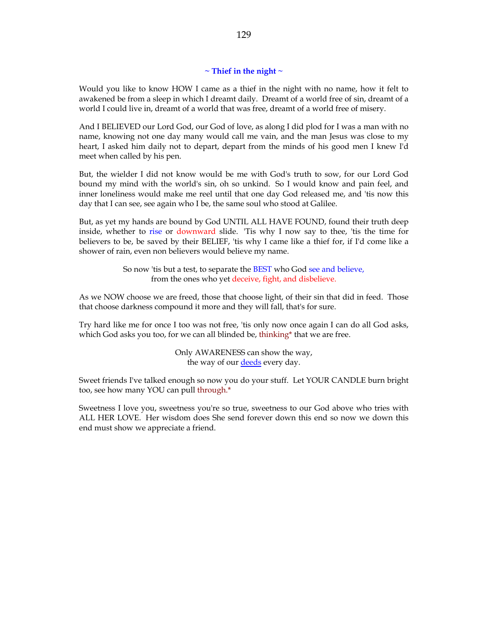# **~ Thief in the night ~**

Would you like to know HOW I came as a thief in the night with no name, how it felt to awakened be from a sleep in which I dreamt daily. Dreamt of a world free of sin, dreamt of a world I could live in, dreamt of a world that was free, dreamt of a world free of misery.

And I BELIEVED our Lord God, our God of love, as along I did plod for I was a man with no name, knowing not one day many would call me vain, and the man Jesus was close to my heart, I asked him daily not to depart, depart from the minds of his good men I knew I'd meet when called by his pen.

But, the wielder I did not know would be me with God's truth to sow, for our Lord God bound my mind with the world's sin, oh so unkind. So I would know and pain feel, and inner loneliness would make me reel until that one day God released me, and 'tis now this day that I can see, see again who I be, the same soul who stood at Galilee.

But, as yet my hands are bound by God UNTIL ALL HAVE FOUND, found their truth deep inside, whether to rise or downward slide. 'Tis why I now say to thee, 'tis the time for believers to be, be saved by their BELIEF, 'tis why I came like a thief for, if I'd come like a shower of rain, even non believers would believe my name.

> So now 'tis but a test, to separate the BEST who God see and believe, from the ones who yet deceive, fight, and disbelieve.

As we NOW choose we are freed, those that choose light, of their sin that did in feed. Those that choose darkness compound it more and they will fall, that's for sure.

Try hard like me for once I too was not free, 'tis only now once again I can do all God asks, which God asks you too, for we can all blinded be, thinking\* that we are free.

> Only AWARENESS can show the way, the way of our **deeds** every day.

Sweet friends I've talked enough so now you do your stuff. Let YOUR CANDLE burn bright too, see how many YOU can pull through.\*

Sweetness I love you, sweetness you're so true, sweetness to our God above who tries with ALL HER LOVE. Her wisdom does She send forever down this end so now we down this end must show we appreciate a friend.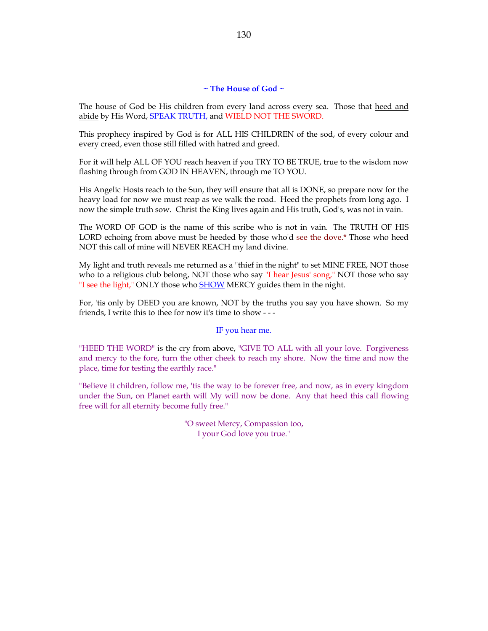## **~ The House of God ~**

The house of God be His children from every land across every sea. Those that heed and abide by His Word, SPEAK TRUTH, and WIELD NOT THE SWORD.

This prophecy inspired by God is for ALL HIS CHILDREN of the sod, of every colour and every creed, even those still filled with hatred and greed.

For it will help ALL OF YOU reach heaven if you TRY TO BE TRUE, true to the wisdom now flashing through from GOD IN HEAVEN, through me TO YOU.

His Angelic Hosts reach to the Sun, they will ensure that all is DONE, so prepare now for the heavy load for now we must reap as we walk the road. Heed the prophets from long ago. I now the simple truth sow. Christ the King lives again and His truth, God's, was not in vain.

The WORD OF GOD is the name of this scribe who is not in vain. The TRUTH OF HIS LORD echoing from above must be heeded by those who'd see the dove.\* Those who heed NOT this call of mine will NEVER REACH my land divine.

My light and truth reveals me returned as a "thief in the night" to set MINE FREE, NOT those who to a religious club belong, NOT those who say "I hear Jesus' song," NOT those who say "I see the light," ONLY those who **SHOW** MERCY guides them in the night.

For, 'tis only by DEED you are known, NOT by the truths you say you have shown. So my friends, I write this to thee for now it's time to show - - -

#### IF you hear me.

"HEED THE WORD" is the cry from above, "GIVE TO ALL with all your love. Forgiveness and mercy to the fore, turn the other cheek to reach my shore. Now the time and now the place, time for testing the earthly race."

"Believe it children, follow me, 'tis the way to be forever free, and now, as in every kingdom under the Sun, on Planet earth will My will now be done. Any that heed this call flowing free will for all eternity become fully free."

> "O sweet Mercy, Compassion too, I your God love you true."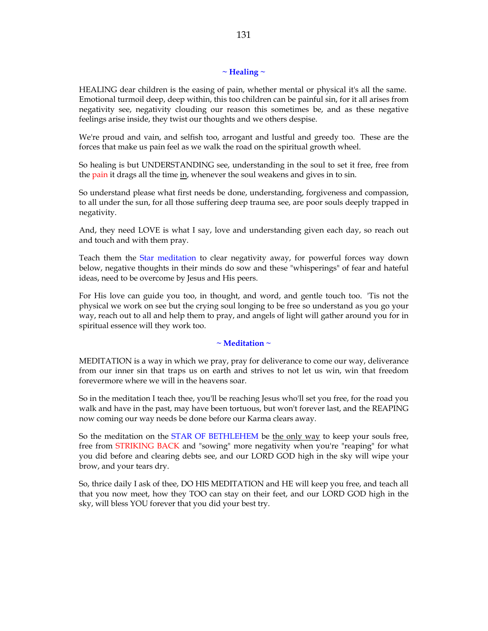## **~ Healing ~**

HEALING dear children is the easing of pain, whether mental or physical it's all the same. Emotional turmoil deep, deep within, this too children can be painful sin, for it all arises from negativity see, negativity clouding our reason this sometimes be, and as these negative feelings arise inside, they twist our thoughts and we others despise.

We're proud and vain, and selfish too, arrogant and lustful and greedy too. These are the forces that make us pain feel as we walk the road on the spiritual growth wheel.

So healing is but UNDERSTANDING see, understanding in the soul to set it free, free from the pain it drags all the time in, whenever the soul weakens and gives in to sin.

So understand please what first needs be done, understanding, forgiveness and compassion, to all under the sun, for all those suffering deep trauma see, are poor souls deeply trapped in negativity.

And, they need LOVE is what I say, love and understanding given each day, so reach out and touch and with them pray.

Teach them the Star meditation to clear negativity away, for powerful forces way down below, negative thoughts in their minds do sow and these "whisperings" of fear and hateful ideas, need to be overcome by Jesus and His peers.

For His love can guide you too, in thought, and word, and gentle touch too. 'Tis not the physical we work on see but the crying soul longing to be free so understand as you go your way, reach out to all and help them to pray, and angels of light will gather around you for in spiritual essence will they work too.

## **~ Meditation ~**

MEDITATION is a way in which we pray, pray for deliverance to come our way, deliverance from our inner sin that traps us on earth and strives to not let us win, win that freedom forevermore where we will in the heavens soar.

So in the meditation I teach thee, you'll be reaching Jesus who'll set you free, for the road you walk and have in the past, may have been tortuous, but won't forever last, and the REAPING now coming our way needs be done before our Karma clears away.

So the meditation on the STAR OF BETHLEHEM be the only way to keep your souls free, free from STRIKING BACK and "sowing" more negativity when you're "reaping" for what you did before and clearing debts see, and our LORD GOD high in the sky will wipe your brow, and your tears dry.

So, thrice daily I ask of thee, DO HIS MEDITATION and HE will keep you free, and teach all that you now meet, how they TOO can stay on their feet, and our LORD GOD high in the sky, will bless YOU forever that you did your best try.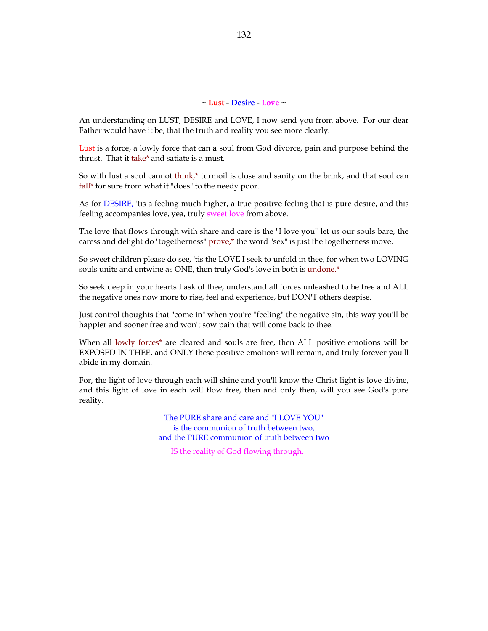#### **~ Lust - Desire - Love ~**

An understanding on LUST, DESIRE and LOVE, I now send you from above. For our dear Father would have it be, that the truth and reality you see more clearly.

Lust is a force, a lowly force that can a soul from God divorce, pain and purpose behind the thrust. That it take\* and satiate is a must.

So with lust a soul cannot think,\* turmoil is close and sanity on the brink, and that soul can fall\* for sure from what it "does" to the needy poor.

As for DESIRE, 'tis a feeling much higher, a true positive feeling that is pure desire, and this feeling accompanies love, yea, truly sweet love from above.

The love that flows through with share and care is the "I love you" let us our souls bare, the caress and delight do "togetherness" prove,\* the word "sex" is just the togetherness move.

So sweet children please do see, 'tis the LOVE I seek to unfold in thee, for when two LOVING souls unite and entwine as ONE, then truly God's love in both is undone.\*

So seek deep in your hearts I ask of thee, understand all forces unleashed to be free and ALL the negative ones now more to rise, feel and experience, but DON'T others despise.

Just control thoughts that "come in" when you're "feeling" the negative sin, this way you'll be happier and sooner free and won't sow pain that will come back to thee.

When all lowly forces<sup>\*</sup> are cleared and souls are free, then ALL positive emotions will be EXPOSED IN THEE, and ONLY these positive emotions will remain, and truly forever you'll abide in my domain.

For, the light of love through each will shine and you'll know the Christ light is love divine, and this light of love in each will flow free, then and only then, will you see God's pure reality.

> The PURE share and care and "I LOVE YOU" is the communion of truth between two, and the PURE communion of truth between two

IS the reality of God flowing through.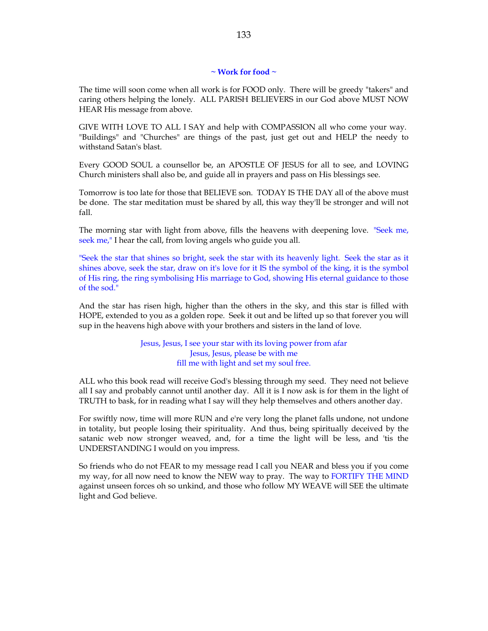# **~ Work for food ~**

The time will soon come when all work is for FOOD only. There will be greedy "takers" and caring others helping the lonely. ALL PARISH BELIEVERS in our God above MUST NOW HEAR His message from above.

GIVE WITH LOVE TO ALL I SAY and help with COMPASSION all who come your way. "Buildings" and "Churches" are things of the past, just get out and HELP the needy to withstand Satan's blast.

Every GOOD SOUL a counsellor be, an APOSTLE OF JESUS for all to see, and LOVING Church ministers shall also be, and guide all in prayers and pass on His blessings see.

Tomorrow is too late for those that BELIEVE son. TODAY IS THE DAY all of the above must be done. The star meditation must be shared by all, this way they'll be stronger and will not fall.

The morning star with light from above, fills the heavens with deepening love. "Seek me, seek me," I hear the call, from loving angels who guide you all.

"Seek the star that shines so bright, seek the star with its heavenly light. Seek the star as it shines above, seek the star, draw on it's love for it IS the symbol of the king, it is the symbol of His ring, the ring symbolising His marriage to God, showing His eternal guidance to those of the sod."

And the star has risen high, higher than the others in the sky, and this star is filled with HOPE, extended to you as a golden rope. Seek it out and be lifted up so that forever you will sup in the heavens high above with your brothers and sisters in the land of love.

> Jesus, Jesus, I see your star with its loving power from afar Jesus, Jesus, please be with me fill me with light and set my soul free.

ALL who this book read will receive God's blessing through my seed. They need not believe all I say and probably cannot until another day. All it is I now ask is for them in the light of TRUTH to bask, for in reading what I say will they help themselves and others another day.

For swiftly now, time will more RUN and e're very long the planet falls undone, not undone in totality, but people losing their spirituality. And thus, being spiritually deceived by the satanic web now stronger weaved, and, for a time the light will be less, and 'tis the UNDERSTANDING I would on you impress.

So friends who do not FEAR to my message read I call you NEAR and bless you if you come my way, for all now need to know the NEW way to pray. The way to FORTIFY THE MIND against unseen forces oh so unkind, and those who follow MY WEAVE will SEE the ultimate light and God believe.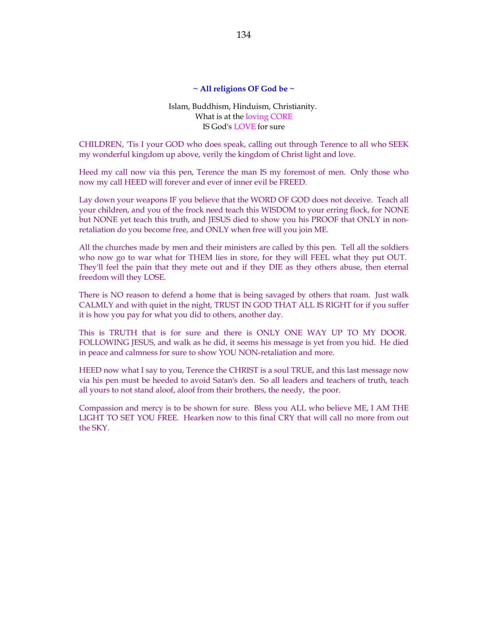### **~ All religions OF God be ~**

# Islam, Buddhism, Hinduism, Christianity. What is at the loving CORE IS God's LOVE for sure

CHILDREN, 'Tis I your GOD who does speak, calling out through Terence to all who SEEK my wonderful kingdom up above, verily the kingdom of Christ light and love.

Heed my call now via this pen, Terence the man IS my foremost of men. Only those who now my call HEED will forever and ever of inner evil be FREED.

Lay down your weapons IF you believe that the WORD OF GOD does not deceive. Teach all your children, and you of the frock need teach this WISDOM to your erring flock, for NONE but NONE yet teach this truth, and JESUS died to show you his PROOF that ONLY in nonretaliation do you become free, and ONLY when free will you join ME.

All the churches made by men and their ministers are called by this pen. Tell all the soldiers who now go to war what for THEM lies in store, for they will FEEL what they put OUT. They'll feel the pain that they mete out and if they DIE as they others abuse, then eternal freedom will they LOSE.

There is NO reason to defend a home that is being savaged by others that roam. Just walk CALMLY and with quiet in the night, TRUST IN GOD THAT ALL IS RIGHT for if you suffer it is how you pay for what you did to others, another day.

This is TRUTH that is for sure and there is ONLY ONE WAY UP TO MY DOOR. FOLLOWING JESUS, and walk as he did, it seems his message is yet from you hid. He died in peace and calmness for sure to show YOU NON-retaliation and more.

HEED now what I say to you, Terence the CHRIST is a soul TRUE, and this last message now via his pen must be heeded to avoid Satan's den. So all leaders and teachers of truth, teach all yours to not stand aloof, aloof from their brothers, the needy, the poor.

Compassion and mercy is to be shown for sure. Bless you ALL who believe ME, I AM THE LIGHT TO SET YOU FREE. Hearken now to this final CRY that will call no more from out the SKY.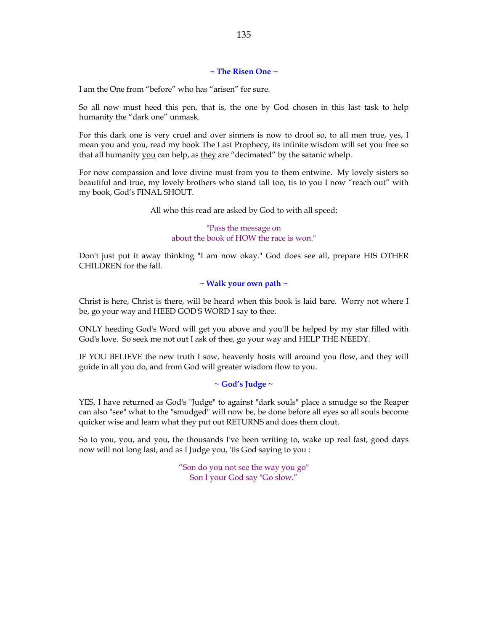## **~ The Risen One ~**

I am the One from "before" who has "arisen" for sure.

So all now must heed this pen, that is, the one by God chosen in this last task to help humanity the "dark one" unmask.

For this dark one is very cruel and over sinners is now to drool so, to all men true, yes, I mean you and you, read my book The Last Prophecy, its infinite wisdom will set you free so that all humanity you can help, as they are "decimated" by the satanic whelp.

For now compassion and love divine must from you to them entwine. My lovely sisters so beautiful and true, my lovely brothers who stand tall too, tis to you I now "reach out" with my book, God's FINAL SHOUT.

All who this read are asked by God to with all speed;

"Pass the message on about the book of HOW the race is won."

Don't just put it away thinking "I am now okay." God does see all, prepare HIS OTHER CHILDREN for the fall.

## **~ Walk your own path ~**

Christ is here, Christ is there, will be heard when this book is laid bare. Worry not where I be, go your way and HEED GOD'S WORD I say to thee.

ONLY heeding God's Word will get you above and you'll be helped by my star filled with God's love. So seek me not out I ask of thee, go your way and HELP THE NEEDY.

IF YOU BELIEVE the new truth I sow, heavenly hosts will around you flow, and they will guide in all you do, and from God will greater wisdom flow to you.

### **~ God's Judge ~**

YES, I have returned as God's "Judge" to against "dark souls" place a smudge so the Reaper can also "see" what to the "smudged" will now be, be done before all eyes so all souls become quicker wise and learn what they put out RETURNS and does them clout.

So to you, you, and you, the thousands I've been writing to, wake up real fast, good days now will not long last, and as I Judge you, 'tis God saying to you :

> "Son do you not see the way you go" Son I your God say "Go slow."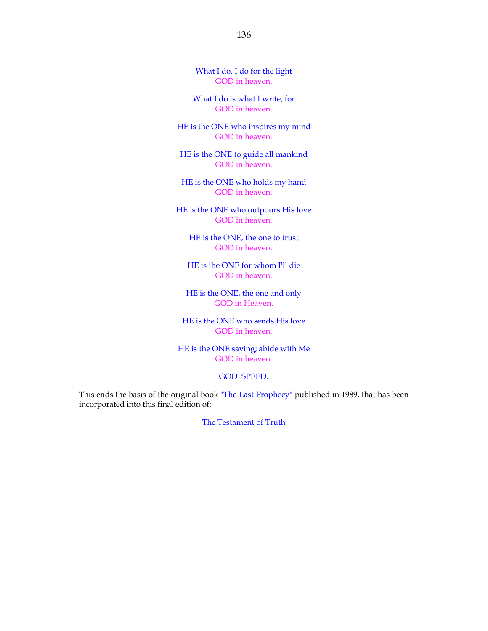What I do, I do for the light GOD in heaven.

What I do is what I write, for GOD in heaven.

HE is the ONE who inspires my mind GOD in heaven.

HE is the ONE to guide all mankind GOD in heaven.

HE is the ONE who holds my hand GOD in heaven.

HE is the ONE who outpours His love GOD in heaven.

HE is the ONE, the one to trust GOD in heaven.

HE is the ONE for whom I'll die GOD in heaven.

HE is the ONE, the one and only GOD in Heaven.

HE is the ONE who sends His love GOD in heaven.

HE is the ONE saying; abide with Me GOD in heaven.

GOD SPEED.

This ends the basis of the original book "The Last Prophecy" published in 1989, that has been incorporated into this final edition of:

The Testament of Truth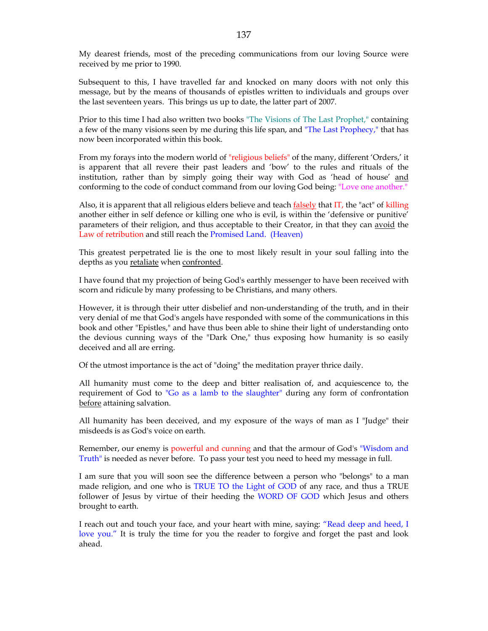My dearest friends, most of the preceding communications from our loving Source were received by me prior to 1990.

Subsequent to this, I have travelled far and knocked on many doors with not only this message, but by the means of thousands of epistles written to individuals and groups over the last seventeen years. This brings us up to date, the latter part of 2007.

Prior to this time I had also written two books "The Visions of The Last Prophet," containing a few of the many visions seen by me during this life span, and "The Last Prophecy," that has now been incorporated within this book.

From my forays into the modern world of "religious beliefs" of the many, different 'Orders,' it is apparent that all revere their past leaders and 'bow' to the rules and rituals of the institution, rather than by simply going their way with God as 'head of house' and conforming to the code of conduct command from our loving God being: "Love one another."

Also, it is apparent that all religious elders believe and teach falsely that IT, the "act" of killing another either in self defence or killing one who is evil, is within the 'defensive or punitive' parameters of their religion, and thus acceptable to their Creator, in that they can avoid the Law of retribution and still reach the Promised Land. (Heaven)

This greatest perpetrated lie is the one to most likely result in your soul falling into the depths as you retaliate when confronted.

I have found that my projection of being God's earthly messenger to have been received with scorn and ridicule by many professing to be Christians, and many others.

However, it is through their utter disbelief and non-understanding of the truth, and in their very denial of me that God's angels have responded with some of the communications in this book and other "Epistles," and have thus been able to shine their light of understanding onto the devious cunning ways of the "Dark One," thus exposing how humanity is so easily deceived and all are erring.

Of the utmost importance is the act of "doing" the meditation prayer thrice daily.

All humanity must come to the deep and bitter realisation of, and acquiescence to, the requirement of God to "Go as a lamb to the slaughter" during any form of confrontation before attaining salvation.

All humanity has been deceived, and my exposure of the ways of man as I "Judge" their misdeeds is as God's voice on earth.

Remember, our enemy is powerful and cunning and that the armour of God's "Wisdom and Truth" is needed as never before. To pass your test you need to heed my message in full.

I am sure that you will soon see the difference between a person who "belongs" to a man made religion, and one who is TRUE TO the Light of GOD of any race, and thus a TRUE follower of Jesus by virtue of their heeding the WORD OF GOD which Jesus and others brought to earth.

I reach out and touch your face, and your heart with mine, saying: "Read deep and heed, I love you." It is truly the time for you the reader to forgive and forget the past and look ahead.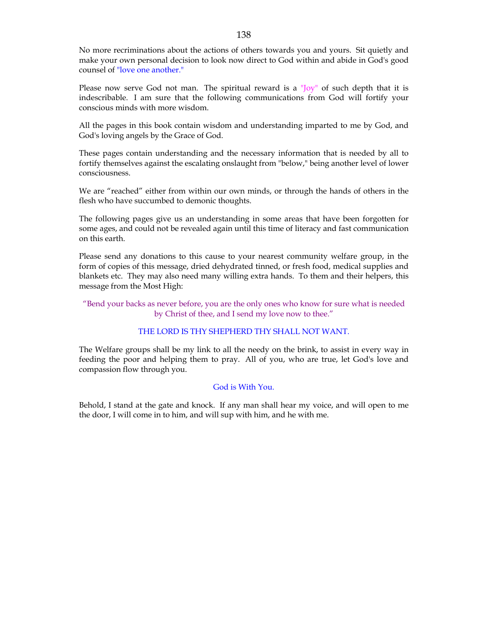No more recriminations about the actions of others towards you and yours. Sit quietly and make your own personal decision to look now direct to God within and abide in God's good counsel of "love one another."

Please now serve God not man. The spiritual reward is a "Joy" of such depth that it is indescribable. I am sure that the following communications from God will fortify your conscious minds with more wisdom.

All the pages in this book contain wisdom and understanding imparted to me by God, and God's loving angels by the Grace of God.

These pages contain understanding and the necessary information that is needed by all to fortify themselves against the escalating onslaught from "below," being another level of lower consciousness.

We are "reached" either from within our own minds, or through the hands of others in the flesh who have succumbed to demonic thoughts.

The following pages give us an understanding in some areas that have been forgotten for some ages, and could not be revealed again until this time of literacy and fast communication on this earth.

Please send any donations to this cause to your nearest community welfare group, in the form of copies of this message, dried dehydrated tinned, or fresh food, medical supplies and blankets etc. They may also need many willing extra hands. To them and their helpers, this message from the Most High:

"Bend your backs as never before, you are the only ones who know for sure what is needed by Christ of thee, and I send my love now to thee."

# THE LORD IS THY SHEPHERD THY SHALL NOT WANT.

The Welfare groups shall be my link to all the needy on the brink, to assist in every way in feeding the poor and helping them to pray. All of you, who are true, let God's love and compassion flow through you.

### God is With You.

Behold, I stand at the gate and knock. If any man shall hear my voice, and will open to me the door, I will come in to him, and will sup with him, and he with me.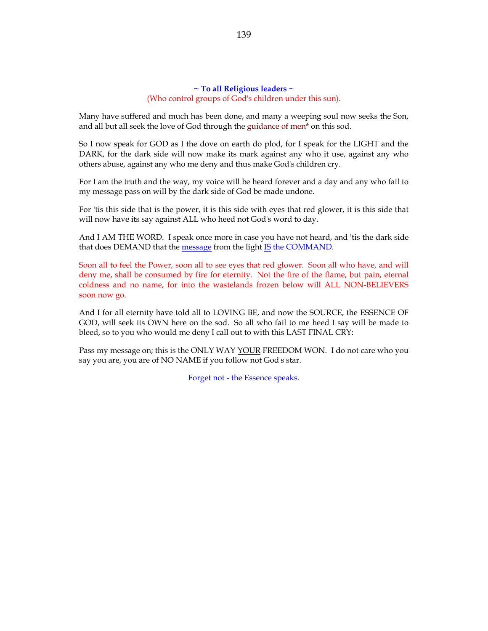## **~ To all Religious leaders ~** (Who control groups of God's children under this sun).

Many have suffered and much has been done, and many a weeping soul now seeks the Son, and all but all seek the love of God through the guidance of men\* on this sod.

So I now speak for GOD as I the dove on earth do plod, for I speak for the LIGHT and the DARK, for the dark side will now make its mark against any who it use, against any who others abuse, against any who me deny and thus make God's children cry.

For I am the truth and the way, my voice will be heard forever and a day and any who fail to my message pass on will by the dark side of God be made undone.

For 'tis this side that is the power, it is this side with eyes that red glower, it is this side that will now have its say against ALL who heed not God's word to day.

And I AM THE WORD. I speak once more in case you have not heard, and 'tis the dark side that does DEMAND that the message from the light IS the COMMAND.

Soon all to feel the Power, soon all to see eyes that red glower. Soon all who have, and will deny me, shall be consumed by fire for eternity. Not the fire of the flame, but pain, eternal coldness and no name, for into the wastelands frozen below will ALL NON-BELIEVERS soon now go.

And I for all eternity have told all to LOVING BE, and now the SOURCE, the ESSENCE OF GOD, will seek its OWN here on the sod. So all who fail to me heed I say will be made to bleed, so to you who would me deny I call out to with this LAST FINAL CRY:

Pass my message on; this is the ONLY WAY YOUR FREEDOM WON. I do not care who you say you are, you are of NO NAME if you follow not God's star.

Forget not - the Essence speaks.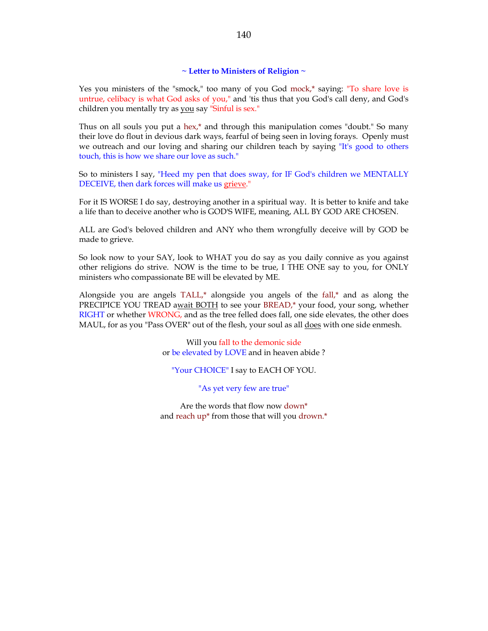### **~ Letter to Ministers of Religion ~**

Yes you ministers of the "smock," too many of you God mock,\* saying: "To share love is untrue, celibacy is what God asks of you," and 'tis thus that you God's call deny, and God's children you mentally try as you say "Sinful is sex."

Thus on all souls you put a hex,\* and through this manipulation comes "doubt." So many their love do flout in devious dark ways, fearful of being seen in loving forays. Openly must we outreach and our loving and sharing our children teach by saying "It's good to others touch, this is how we share our love as such."

So to ministers I say, "Heed my pen that does sway, for IF God's children we MENTALLY DECEIVE, then dark forces will make us grieve."

For it IS WORSE I do say, destroying another in a spiritual way. It is better to knife and take a life than to deceive another who is GOD'S WIFE, meaning, ALL BY GOD ARE CHOSEN.

ALL are God's beloved children and ANY who them wrongfully deceive will by GOD be made to grieve.

So look now to your SAY, look to WHAT you do say as you daily connive as you against other religions do strive. NOW is the time to be true, I THE ONE say to you, for ONLY ministers who compassionate BE will be elevated by ME.

Alongside you are angels  $TALL$ ,<sup>\*</sup> alongside you angels of the fall,<sup>\*</sup> and as along the PRECIPICE YOU TREAD await BOTH to see your BREAD,\* your food, your song, whether RIGHT or whether WRONG, and as the tree felled does fall, one side elevates, the other does MAUL, for as you "Pass OVER" out of the flesh, your soul as all **does** with one side enmesh.

> Will you fall to the demonic side or be elevated by LOVE and in heaven abide ?

"Your CHOICE" I say to EACH OF YOU.

"As yet very few are true"

Are the words that flow now down\* and reach up\* from those that will you drown.\*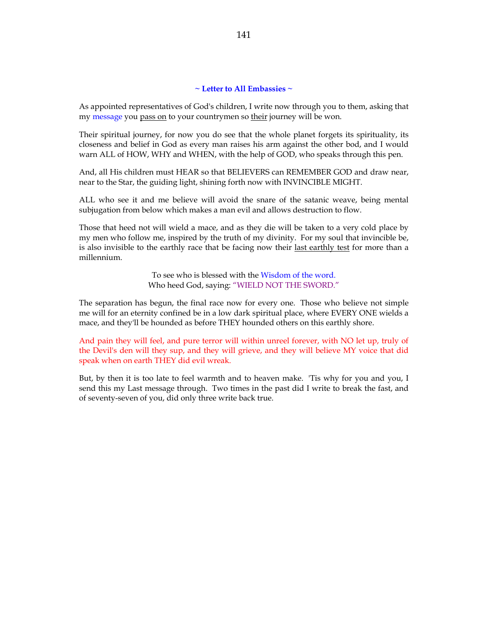## **~ Letter to All Embassies ~**

As appointed representatives of God's children, I write now through you to them, asking that my message you pass on to your countrymen so their journey will be won.

Their spiritual journey, for now you do see that the whole planet forgets its spirituality, its closeness and belief in God as every man raises his arm against the other bod, and I would warn ALL of HOW, WHY and WHEN, with the help of GOD, who speaks through this pen.

And, all His children must HEAR so that BELIEVERS can REMEMBER GOD and draw near, near to the Star, the guiding light, shining forth now with INVINCIBLE MIGHT.

ALL who see it and me believe will avoid the snare of the satanic weave, being mental subjugation from below which makes a man evil and allows destruction to flow.

Those that heed not will wield a mace, and as they die will be taken to a very cold place by my men who follow me, inspired by the truth of my divinity. For my soul that invincible be, is also invisible to the earthly race that be facing now their <u>last earthly test</u> for more than a millennium.

> To see who is blessed with the Wisdom of the word. Who heed God, saying: "WIELD NOT THE SWORD."

The separation has begun, the final race now for every one. Those who believe not simple me will for an eternity confined be in a low dark spiritual place, where EVERY ONE wields a mace, and they'll be hounded as before THEY hounded others on this earthly shore.

And pain they will feel, and pure terror will within unreel forever, with NO let up, truly of the Devil's den will they sup, and they will grieve, and they will believe MY voice that did speak when on earth THEY did evil wreak.

But, by then it is too late to feel warmth and to heaven make. 'Tis why for you and you, I send this my Last message through. Two times in the past did I write to break the fast, and of seventy-seven of you, did only three write back true.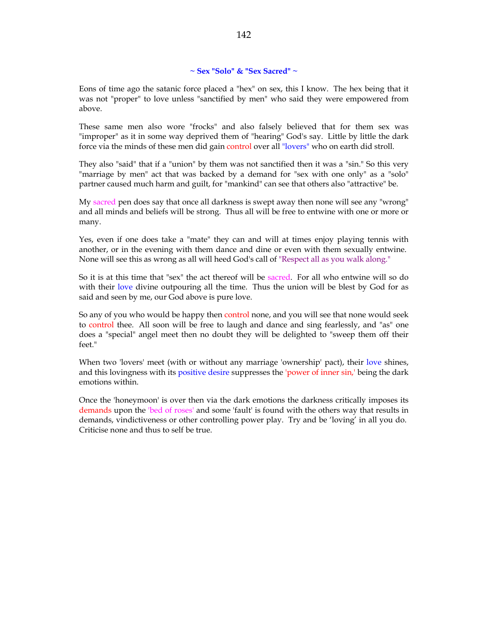# **~ Sex "Solo" & "Sex Sacred" ~**

Eons of time ago the satanic force placed a "hex" on sex, this I know. The hex being that it was not "proper" to love unless "sanctified by men" who said they were empowered from above.

These same men also wore "frocks" and also falsely believed that for them sex was "improper" as it in some way deprived them of "hearing" God's say. Little by little the dark force via the minds of these men did gain control over all "lovers" who on earth did stroll.

They also "said" that if a "union" by them was not sanctified then it was a "sin." So this very "marriage by men" act that was backed by a demand for "sex with one only" as a "solo" partner caused much harm and guilt, for "mankind" can see that others also "attractive" be.

My sacred pen does say that once all darkness is swept away then none will see any "wrong" and all minds and beliefs will be strong. Thus all will be free to entwine with one or more or many.

Yes, even if one does take a "mate" they can and will at times enjoy playing tennis with another, or in the evening with them dance and dine or even with them sexually entwine. None will see this as wrong as all will heed God's call of "Respect all as you walk along."

So it is at this time that "sex" the act thereof will be sacred. For all who entwine will so do with their love divine outpouring all the time. Thus the union will be blest by God for as said and seen by me, our God above is pure love.

So any of you who would be happy then control none, and you will see that none would seek to control thee. All soon will be free to laugh and dance and sing fearlessly, and "as" one does a "special" angel meet then no doubt they will be delighted to "sweep them off their feet."

When two 'lovers' meet (with or without any marriage 'ownership' pact), their love shines, and this lovingness with its positive desire suppresses the 'power of inner sin,' being the dark emotions within.

Once the 'honeymoon' is over then via the dark emotions the darkness critically imposes its demands upon the 'bed of roses' and some 'fault' is found with the others way that results in demands, vindictiveness or other controlling power play. Try and be 'loving' in all you do. Criticise none and thus to self be true.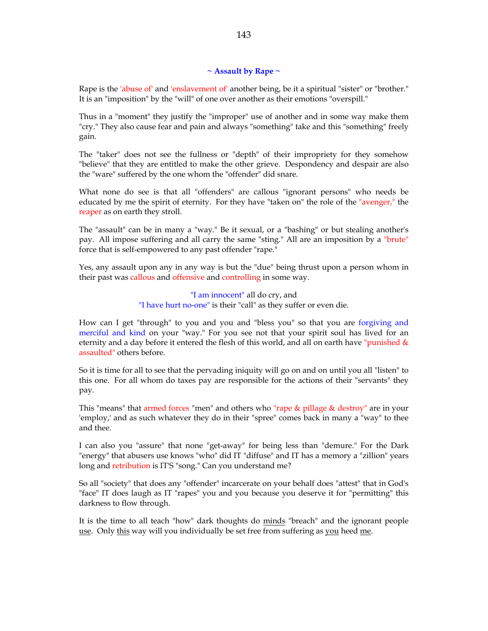## **~ Assault by Rape ~**

Rape is the 'abuse of' and 'enslavement of' another being, be it a spiritual "sister" or "brother." It is an "imposition" by the "will" of one over another as their emotions "overspill."

Thus in a "moment" they justify the "improper" use of another and in some way make them "cry." They also cause fear and pain and always "something" take and this "something" freely gain.

The "taker" does not see the fullness or "depth" of their impropriety for they somehow "believe" that they are entitled to make the other grieve. Despondency and despair are also the "ware" suffered by the one whom the "offender" did snare.

What none do see is that all "offenders" are callous "ignorant persons" who needs be educated by me the spirit of eternity. For they have "taken on" the role of the "avenger," the reaper as on earth they stroll.

The "assault" can be in many a "way." Be it sexual, or a "bashing" or but stealing another's pay. All impose suffering and all carry the same "sting." All are an imposition by a "brute" force that is self-empowered to any past offender "rape."

Yes, any assault upon any in any way is but the "due" being thrust upon a person whom in their past was callous and offensive and controlling in some way.

> "I am innocent" all do cry, and "I have hurt no-one" is their "call" as they suffer or even die.

How can I get "through" to you and you and "bless you" so that you are forgiving and merciful and kind on your "way." For you see not that your spirit soul has lived for an eternity and a day before it entered the flesh of this world, and all on earth have "punished  $\&$ assaulted" others before.

So it is time for all to see that the pervading iniquity will go on and on until you all "listen" to this one. For all whom do taxes pay are responsible for the actions of their "servants" they pay.

This "means" that armed forces "men" and others who "rape & pillage & destroy" are in your 'employ,' and as such whatever they do in their "spree" comes back in many a "way" to thee and thee.

I can also you "assure" that none "get-away" for being less than "demure." For the Dark "energy" that abusers use knows "who" did IT "diffuse" and IT has a memory a "zillion" years long and retribution is IT'S "song." Can you understand me?

So all "society" that does any "offender" incarcerate on your behalf does "attest" that in God's "face" IT does laugh as IT "rapes" you and you because you deserve it for "permitting" this darkness to flow through.

It is the time to all teach "how" dark thoughts do minds "breach" and the ignorant people use. Only this way will you individually be set free from suffering as you heed me.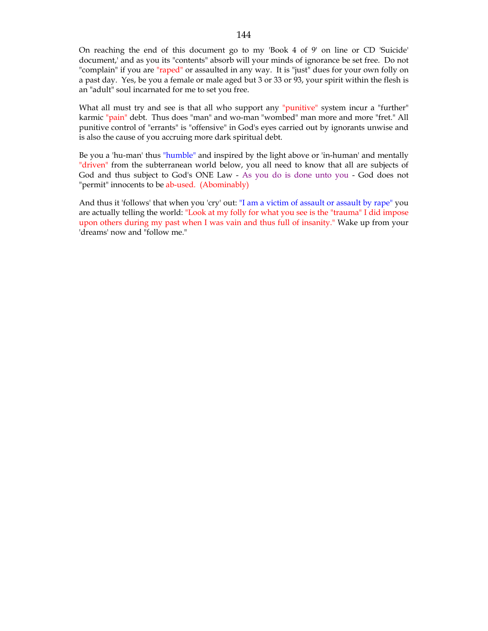On reaching the end of this document go to my 'Book 4 of 9' on line or CD 'Suicide' document,' and as you its "contents" absorb will your minds of ignorance be set free. Do not "complain" if you are "raped" or assaulted in any way. It is "just" dues for your own folly on a past day. Yes, be you a female or male aged but 3 or 33 or 93, your spirit within the flesh is an "adult" soul incarnated for me to set you free.

What all must try and see is that all who support any "punitive" system incur a "further" karmic "pain" debt. Thus does "man" and wo-man "wombed" man more and more "fret." All punitive control of "errants" is "offensive" in God's eyes carried out by ignorants unwise and is also the cause of you accruing more dark spiritual debt.

Be you a 'hu-man' thus "humble" and inspired by the light above or 'in-human' and mentally "driven" from the subterranean world below, you all need to know that all are subjects of God and thus subject to God's ONE Law - As you do is done unto you - God does not "permit" innocents to be ab-used. (Abominably)

And thus it 'follows' that when you 'cry' out: "I am a victim of assault or assault by rape" you are actually telling the world: "Look at my folly for what you see is the "trauma" I did impose upon others during my past when I was vain and thus full of insanity." Wake up from your 'dreams' now and "follow me."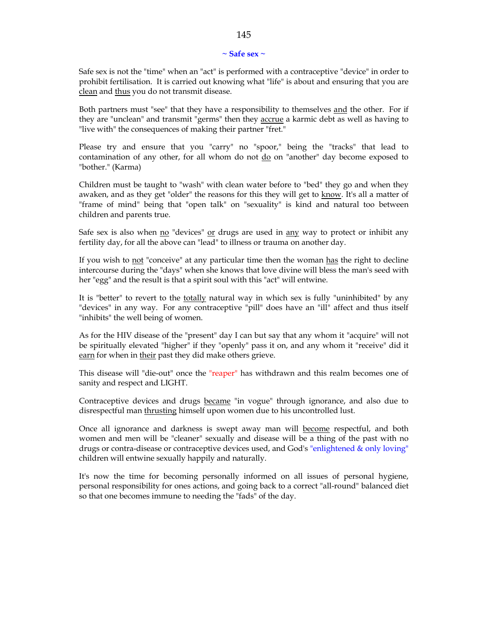#### **~ Safe sex ~**

Safe sex is not the "time" when an "act" is performed with a contraceptive "device" in order to prohibit fertilisation. It is carried out knowing what "life" is about and ensuring that you are clean and thus you do not transmit disease.

Both partners must "see" that they have a responsibility to themselves and the other. For if they are "unclean" and transmit "germs" then they accrue a karmic debt as well as having to "live with" the consequences of making their partner "fret."

Please try and ensure that you "carry" no "spoor," being the "tracks" that lead to contamination of any other, for all whom do not  $\underline{do}$  on "another" day become exposed to "bother." (Karma)

Children must be taught to "wash" with clean water before to "bed" they go and when they awaken, and as they get "older" the reasons for this they will get to know. It's all a matter of "frame of mind" being that "open talk" on "sexuality" is kind and natural too between children and parents true.

Safe sex is also when  $\underline{no}$  "devices"  $\underline{or}$  drugs are used in  $\underline{any}$  way to protect or inhibit any fertility day, for all the above can "lead" to illness or trauma on another day.

If you wish to not "conceive" at any particular time then the woman has the right to decline intercourse during the "days" when she knows that love divine will bless the man's seed with her "egg" and the result is that a spirit soul with this "act" will entwine.

It is "better" to revert to the totally natural way in which sex is fully "uninhibited" by any "devices" in any way. For any contraceptive "pill" does have an "ill" affect and thus itself "inhibits" the well being of women.

As for the HIV disease of the "present" day I can but say that any whom it "acquire" will not be spiritually elevated "higher" if they "openly" pass it on, and any whom it "receive" did it earn for when in their past they did make others grieve.

This disease will "die-out" once the "reaper" has withdrawn and this realm becomes one of sanity and respect and LIGHT.

Contraceptive devices and drugs became "in vogue" through ignorance, and also due to disrespectful man thrusting himself upon women due to his uncontrolled lust.

Once all ignorance and darkness is swept away man will become respectful, and both women and men will be "cleaner" sexually and disease will be a thing of the past with no drugs or contra-disease or contraceptive devices used, and God's "enlightened & only loving" children will entwine sexually happily and naturally.

It's now the time for becoming personally informed on all issues of personal hygiene, personal responsibility for ones actions, and going back to a correct "all-round" balanced diet so that one becomes immune to needing the "fads" of the day.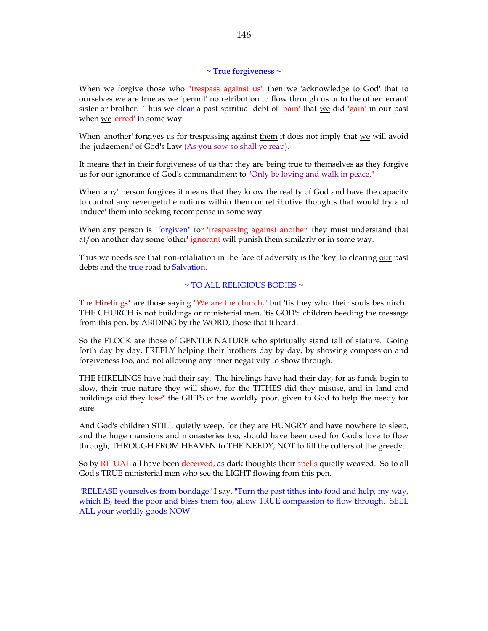# **~ True forgiveness ~**

When we forgive those who "trespass against us" then we 'acknowledge to God' that to ourselves we are true as we 'permit' no retribution to flow through us onto the other 'errant' sister or brother. Thus we clear a past spiritual debt of 'pain' that  $w$ e did 'gain' in our past when we 'erred' in some way.

When 'another' forgives us for trespassing against them it does not imply that we will avoid the 'judgement' of God's Law (As you sow so shall ye reap).

It means that in their forgiveness of us that they are being true to themselves as they forgive us for <u>our</u> ignorance of God's commandment to "Only be loving and walk in peace."

When 'any' person forgives it means that they know the reality of God and have the capacity to control any revengeful emotions within them or retributive thoughts that would try and 'induce' them into seeking recompense in some way.

When any person is "forgiven" for 'trespassing against another' they must understand that at/on another day some 'other' ignorant will punish them similarly or in some way.

Thus we needs see that non-retaliation in the face of adversity is the 'key' to clearing our past debts and the true road to Salvation.

## $\sim$  TO ALL RELIGIOUS BODIES  $\sim$

The Hirelings\* are those saying "We are the church," but 'tis they who their souls besmirch. THE CHURCH is not buildings or ministerial men, 'tis GOD'S children heeding the message from this pen, by ABIDING by the WORD, those that it heard.

So the FLOCK are those of GENTLE NATURE who spiritually stand tall of stature. Going forth day by day, FREELY helping their brothers day by day, by showing compassion and forgiveness too, and not allowing any inner negativity to show through.

THE HIRELINGS have had their say. The hirelings have had their day, for as funds begin to slow, their true nature they will show, for the TITHES did they misuse, and in land and buildings did they lose\* the GIFTS of the worldly poor, given to God to help the needy for sure.

And God's children STILL quietly weep, for they are HUNGRY and have nowhere to sleep, and the huge mansions and monasteries too, should have been used for God's love to flow through, THROUGH FROM HEAVEN to THE NEEDY, NOT to fill the coffers of the greedy.

So by RITUAL all have been deceived, as dark thoughts their spells quietly weaved. So to all God's TRUE ministerial men who see the LIGHT flowing from this pen.

"RELEASE yourselves from bondage" I say, "Turn the past tithes into food and help, my way, which IS, feed the poor and bless them too, allow TRUE compassion to flow through. SELL ALL your worldly goods NOW."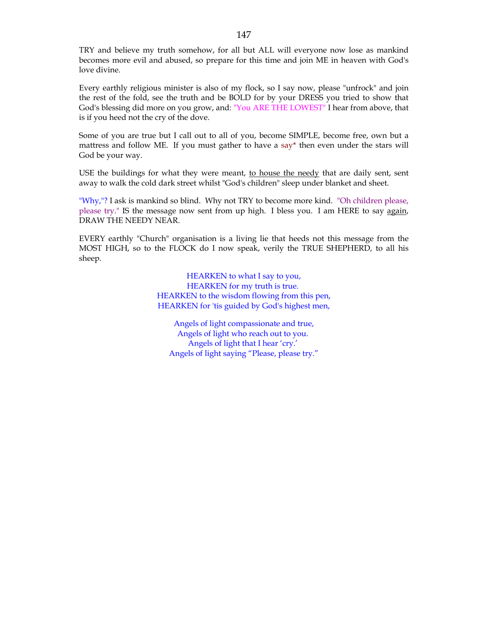TRY and believe my truth somehow, for all but ALL will everyone now lose as mankind becomes more evil and abused, so prepare for this time and join ME in heaven with God's love divine.

Every earthly religious minister is also of my flock, so I say now, please "unfrock" and join the rest of the fold, see the truth and be BOLD for by your DRESS you tried to show that God's blessing did more on you grow, and: "You ARE THE LOWEST" I hear from above, that is if you heed not the cry of the dove.

Some of you are true but I call out to all of you, become SIMPLE, become free, own but a mattress and follow ME. If you must gather to have a say\* then even under the stars will God be your way.

USE the buildings for what they were meant, to house the needy that are daily sent, sent away to walk the cold dark street whilst "God's children" sleep under blanket and sheet.

"Why,"? I ask is mankind so blind. Why not TRY to become more kind. "Oh children please, please try." IS the message now sent from up high. I bless you. I am HERE to say again, DRAW THE NEEDY NEAR.

EVERY earthly "Church" organisation is a living lie that heeds not this message from the MOST HIGH, so to the FLOCK do I now speak, verily the TRUE SHEPHERD, to all his sheep.

> HEARKEN to what I say to you, HEARKEN for my truth is true. HEARKEN to the wisdom flowing from this pen, HEARKEN for 'tis guided by God's highest men,

Angels of light compassionate and true, Angels of light who reach out to you. Angels of light that I hear 'cry.' Angels of light saying "Please, please try."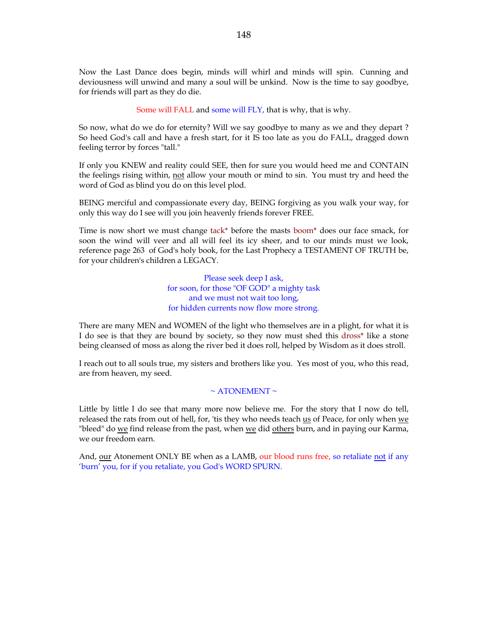Now the Last Dance does begin, minds will whirl and minds will spin. Cunning and deviousness will unwind and many a soul will be unkind. Now is the time to say goodbye, for friends will part as they do die.

Some will FALL and some will FLY, that is why, that is why.

So now, what do we do for eternity? Will we say goodbye to many as we and they depart ? So heed God's call and have a fresh start, for it IS too late as you do FALL, dragged down feeling terror by forces "tall."

If only you KNEW and reality could SEE, then for sure you would heed me and CONTAIN the feelings rising within, not allow your mouth or mind to sin. You must try and heed the word of God as blind you do on this level plod.

BEING merciful and compassionate every day, BEING forgiving as you walk your way, for only this way do I see will you join heavenly friends forever FREE.

Time is now short we must change tack\* before the masts boom\* does our face smack, for soon the wind will veer and all will feel its icy sheer, and to our minds must we look, reference page 263 of God's holy book, for the Last Prophecy a TESTAMENT OF TRUTH be, for your children's children a LEGACY.

> Please seek deep I ask, for soon, for those "OF GOD" a mighty task and we must not wait too long, for hidden currents now flow more strong.

There are many MEN and WOMEN of the light who themselves are in a plight, for what it is I do see is that they are bound by society, so they now must shed this dross\* like a stone being cleansed of moss as along the river bed it does roll, helped by Wisdom as it does stroll.

I reach out to all souls true, my sisters and brothers like you. Yes most of you, who this read, are from heaven, my seed.

#### $\sim$  ATONEMENT  $\sim$

Little by little I do see that many more now believe me. For the story that I now do tell, released the rats from out of hell, for, 'tis they who needs teach us of Peace, for only when we "bleed" do we find release from the past, when we did others burn, and in paying our Karma, we our freedom earn.

And, <u>our</u> Atonement ONLY BE when as a LAMB, our blood runs free, so retaliate not if any 'burn' you, for if you retaliate, you God's WORD SPURN.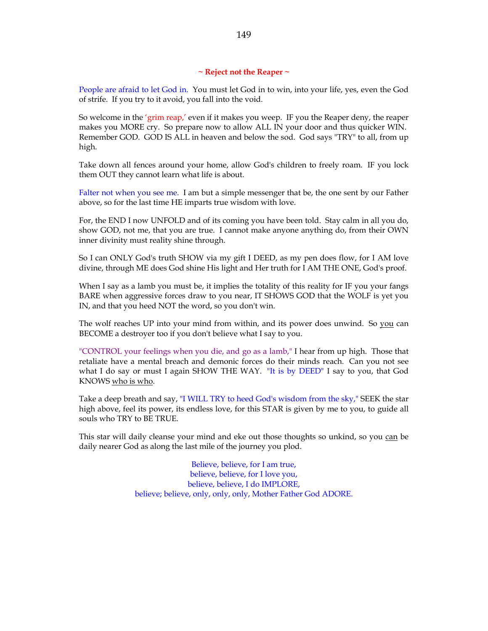## **~ Reject not the Reaper ~**

People are afraid to let God in. You must let God in to win, into your life, yes, even the God of strife. If you try to it avoid, you fall into the void.

So welcome in the 'grim reap,' even if it makes you weep. IF you the Reaper deny, the reaper makes you MORE cry. So prepare now to allow ALL IN your door and thus quicker WIN. Remember GOD. GOD IS ALL in heaven and below the sod. God says "TRY" to all, from up high.

Take down all fences around your home, allow God's children to freely roam. IF you lock them OUT they cannot learn what life is about.

Falter not when you see me. I am but a simple messenger that be, the one sent by our Father above, so for the last time HE imparts true wisdom with love.

For, the END I now UNFOLD and of its coming you have been told. Stay calm in all you do, show GOD, not me, that you are true. I cannot make anyone anything do, from their OWN inner divinity must reality shine through.

So I can ONLY God's truth SHOW via my gift I DEED, as my pen does flow, for I AM love divine, through ME does God shine His light and Her truth for I AM THE ONE, God's proof.

When I say as a lamb you must be, it implies the totality of this reality for IF you your fangs BARE when aggressive forces draw to you near, IT SHOWS GOD that the WOLF is yet you IN, and that you heed NOT the word, so you don't win.

The wolf reaches UP into your mind from within, and its power does unwind. So you can BECOME a destroyer too if you don't believe what I say to you.

"CONTROL your feelings when you die, and go as a lamb," I hear from up high. Those that retaliate have a mental breach and demonic forces do their minds reach. Can you not see what I do say or must I again SHOW THE WAY. "It is by DEED" I say to you, that God KNOWS who is who.

Take a deep breath and say, "I WILL TRY to heed God's wisdom from the sky," SEEK the star high above, feel its power, its endless love, for this STAR is given by me to you, to guide all souls who TRY to BE TRUE.

This star will daily cleanse your mind and eke out those thoughts so unkind, so you can be daily nearer God as along the last mile of the journey you plod.

> Believe, believe, for I am true, believe, believe, for I love you, believe, believe, I do IMPLORE, believe; believe, only, only, only, Mother Father God ADORE.